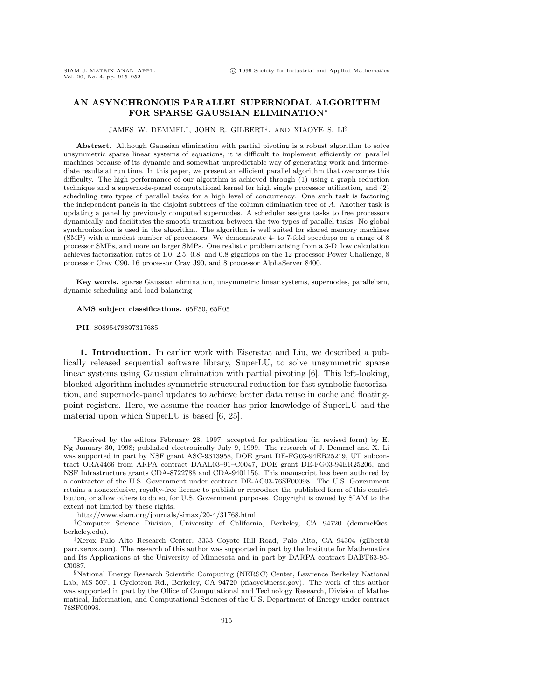### **AN ASYNCHRONOUS PARALLEL SUPERNODAL ALGORITHM FOR SPARSE GAUSSIAN ELIMINATION**<sup>∗</sup>

#### JAMES W. DEMMEL†, JOHN R. GILBERT‡, AND XIAOYE S. LI§

**Abstract.** Although Gaussian elimination with partial pivoting is a robust algorithm to solve unsymmetric sparse linear systems of equations, it is difficult to implement efficiently on parallel machines because of its dynamic and somewhat unpredictable way of generating work and intermediate results at run time. In this paper, we present an efficient parallel algorithm that overcomes this difficulty. The high performance of our algorithm is achieved through (1) using a graph reduction technique and a supernode-panel computational kernel for high single processor utilization, and (2) scheduling two types of parallel tasks for a high level of concurrency. One such task is factoring the independent panels in the disjoint subtrees of the column elimination tree of A. Another task is updating a panel by previously computed supernodes. A scheduler assigns tasks to free processors dynamically and facilitates the smooth transition between the two types of parallel tasks. No global synchronization is used in the algorithm. The algorithm is well suited for shared memory machines (SMP) with a modest number of processors. We demonstrate 4- to 7-fold speedups on a range of 8 processor SMPs, and more on larger SMPs. One realistic problem arising from a 3-D flow calculation achieves factorization rates of 1.0, 2.5, 0.8, and 0.8 gigaflops on the 12 processor Power Challenge, 8 processor Cray C90, 16 processor Cray J90, and 8 processor AlphaServer 8400.

**Key words.** sparse Gaussian elimination, unsymmetric linear systems, supernodes, parallelism, dynamic scheduling and load balancing

#### AMS subject classifications. 65F50, 65F05

#### **PII.** S0895479897317685

**1. Introduction.** In earlier work with Eisenstat and Liu, we described a publically released sequential software library, SuperLU, to solve unsymmetric sparse linear systems using Gaussian elimination with partial pivoting [6]. This left-looking, blocked algorithm includes symmetric structural reduction for fast symbolic factorization, and supernode-panel updates to achieve better data reuse in cache and floatingpoint registers. Here, we assume the reader has prior knowledge of SuperLU and the material upon which SuperLU is based [6, 25].

<sup>∗</sup>Received by the editors February 28, 1997; accepted for publication (in revised form) by E. Ng January 30, 1998; published electronically July 9, 1999. The research of J. Demmel and X. Li was supported in part by NSF grant ASC-9313958, DOE grant DE-FG03-94ER25219, UT subcontract ORA4466 from ARPA contract DAAL03–91–C0047, DOE grant DE-FG03-94ER25206, and NSF Infrastructure grants CDA-8722788 and CDA-9401156. This manuscript has been authored by a contractor of the U.S. Government under contract DE-AC03-76SF00098. The U.S. Government retains a nonexclusive, royalty-free license to publish or reproduce the published form of this contribution, or allow others to do so, for U.S. Government purposes. Copyright is owned by SIAM to the extent not limited by these rights.

http://www.siam.org/journals/simax/20-4/31768.html

<sup>†</sup>Computer Science Division, University of California, Berkeley, CA 94720 (demmel@cs. berkeley.edu).

<sup>‡</sup>Xerox Palo Alto Research Center, 3333 Coyote Hill Road, Palo Alto, CA 94304 (gilbert@ parc.xerox.com). The research of this author was supported in part by the Institute for Mathematics and Its Applications at the University of Minnesota and in part by DARPA contract DABT63-95- C0087.

<sup>§</sup>National Energy Research Scientific Computing (NERSC) Center, Lawrence Berkeley National Lab, MS 50F, 1 Cyclotron Rd., Berkeley, CA 94720 (xiaoye@nersc.gov). The work of this author was supported in part by the Office of Computational and Technology Research, Division of Mathematical, Information, and Computational Sciences of the U.S. Department of Energy under contract 76SF00098.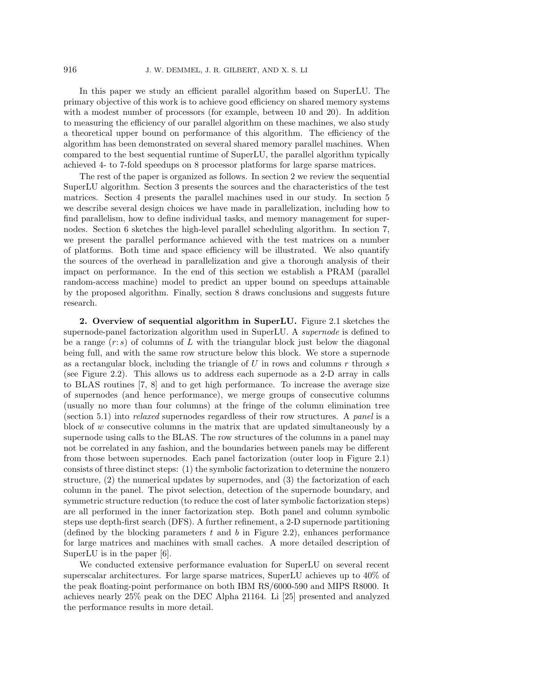In this paper we study an efficient parallel algorithm based on SuperLU. The primary objective of this work is to achieve good efficiency on shared memory systems with a modest number of processors (for example, between 10 and 20). In addition to measuring the efficiency of our parallel algorithm on these machines, we also study a theoretical upper bound on performance of this algorithm. The efficiency of the algorithm has been demonstrated on several shared memory parallel machines. When compared to the best sequential runtime of SuperLU, the parallel algorithm typically achieved 4- to 7-fold speedups on 8 processor platforms for large sparse matrices.

The rest of the paper is organized as follows. In section 2 we review the sequential SuperLU algorithm. Section 3 presents the sources and the characteristics of the test matrices. Section 4 presents the parallel machines used in our study. In section 5 we describe several design choices we have made in parallelization, including how to find parallelism, how to define individual tasks, and memory management for supernodes. Section 6 sketches the high-level parallel scheduling algorithm. In section 7, we present the parallel performance achieved with the test matrices on a number of platforms. Both time and space efficiency will be illustrated. We also quantify the sources of the overhead in parallelization and give a thorough analysis of their impact on performance. In the end of this section we establish a PRAM (parallel random-access machine) model to predict an upper bound on speedups attainable by the proposed algorithm. Finally, section 8 draws conclusions and suggests future research.

**2. Overview of sequential algorithm in SuperLU.** Figure 2.1 sketches the supernode-panel factorization algorithm used in SuperLU. A supernode is defined to be a range  $(r: s)$  of columns of L with the triangular block just below the diagonal being full, and with the same row structure below this block. We store a supernode as a rectangular block, including the triangle of  $U$  in rows and columns  $r$  through  $s$ (see Figure 2.2). This allows us to address each supernode as a 2-D array in calls to BLAS routines [7, 8] and to get high performance. To increase the average size of supernodes (and hence performance), we merge groups of consecutive columns (usually no more than four columns) at the fringe of the column elimination tree (section 5.1) into relaxed supernodes regardless of their row structures. A panel is a block of  $w$  consecutive columns in the matrix that are updated simultaneously by a supernode using calls to the BLAS. The row structures of the columns in a panel may not be correlated in any fashion, and the boundaries between panels may be different from those between supernodes. Each panel factorization (outer loop in Figure 2.1) consists of three distinct steps: (1) the symbolic factorization to determine the nonzero structure, (2) the numerical updates by supernodes, and (3) the factorization of each column in the panel. The pivot selection, detection of the supernode boundary, and symmetric structure reduction (to reduce the cost of later symbolic factorization steps) are all performed in the inner factorization step. Both panel and column symbolic steps use depth-first search (DFS). A further refinement, a 2-D supernode partitioning (defined by the blocking parameters  $t$  and  $b$  in Figure 2.2), enhances performance for large matrices and machines with small caches. A more detailed description of SuperLU is in the paper [6].

We conducted extensive performance evaluation for SuperLU on several recent superscalar architectures. For large sparse matrices, SuperLU achieves up to 40% of the peak floating-point performance on both IBM RS/6000-590 and MIPS R8000. It achieves nearly 25% peak on the DEC Alpha 21164. Li [25] presented and analyzed the performance results in more detail.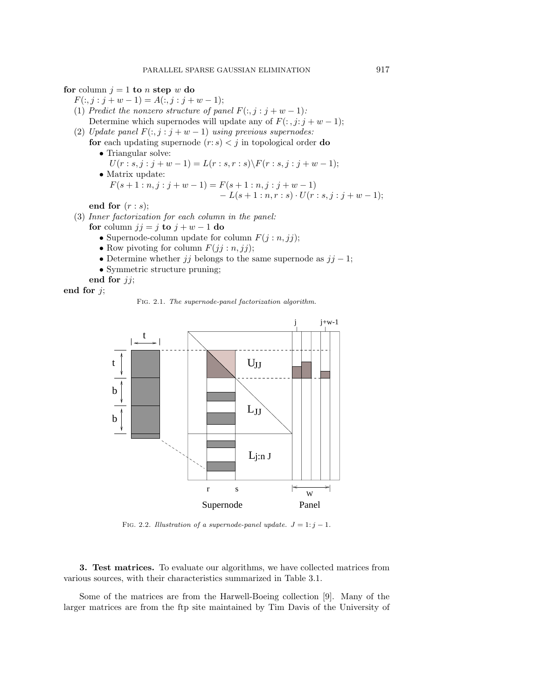**for** column  $j = 1$  **to** n **step** w **do** 

- $F(:, j : j + w 1) = A(:, j : j + w 1);$
- (1) Predict the nonzero structure of panel  $F(:, j : j + w 1)$ : Determine which supernodes will update any of  $F(:, j:j + w - 1);$
- (2) Update panel  $F(:, j : j + w 1)$  using previous supernodes:
	- **for** each updating supernode  $(r: s) < j$  in topological order **do** • Triangular solve:
		- $U(r : s, j : j + w 1) = L(r : s, r : s) \backslash F(r : s, j : j + w 1);$ • Matrix update:  $F(s+1:n, j:j+w-1) = F(s+1:n, j:j+w-1)$  $-L(s+1:n,r:s)\cdot U(r:s,j:j+w-1);$

**end for** (r : s);

- (3) Inner factorization for each column in the panel:
	- **for** column  $jj = j$  **to**  $j + w 1$  **do** 
		- Supernode-column update for column  $F(j:n, jj);$
		- Row pivoting for column  $F(jj:n, jj);$
		- Determine whether jj belongs to the same supernode as  $jj 1$ ;
		- Symmetric structure pruning;

**end for** jj;

**end for** j;

Fig. 2.1. The supernode-panel factorization algorithm.



FIG. 2.2. Illustration of a supernode-panel update.  $J = 1$ :  $j - 1$ .

**3. Test matrices.** To evaluate our algorithms, we have collected matrices from various sources, with their characteristics summarized in Table 3.1.

Some of the matrices are from the Harwell-Boeing collection [9]. Many of the larger matrices are from the ftp site maintained by Tim Davis of the University of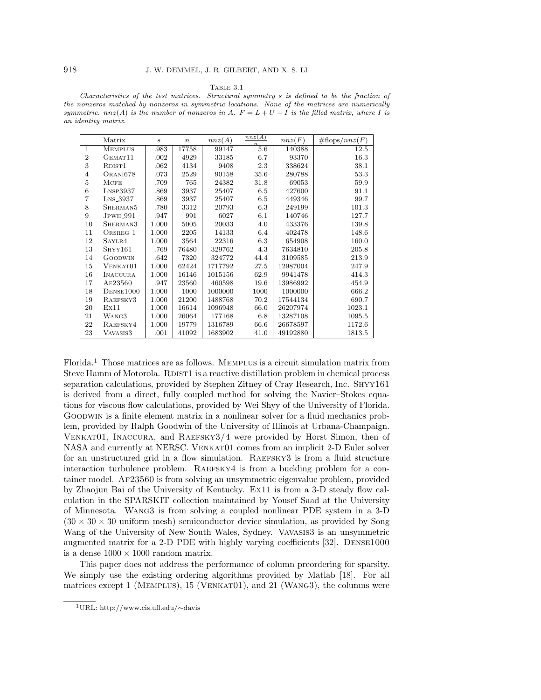#### Table 3.1

Characteristics of the test matrices. Structural symmetry s is defined to be the fraction of the nonzeros matched by nonzeros in symmetric locations. None of the matrices are numerically symmetric. nnz(A) is the number of nonzeros in A.  $F = L + U - I$  is the filled matrix, where I is an identity matrix.

|                | Matrix                    | $\boldsymbol{s}$ | $\, n$ | nnz(A)  | nnz(A)<br>$\boldsymbol{n}$ | nnz(F)   | $\#\text{flops}/nnz(F)$ |
|----------------|---------------------------|------------------|--------|---------|----------------------------|----------|-------------------------|
| 1              | <b>MEMPLUS</b>            | .983             | 17758  | 99147   | 5.6                        | 140388   | 12.5                    |
| $\overline{2}$ | GEMAT11                   | .002             | 4929   | 33185   | 6.7                        | 93370    | 16.3                    |
| 3              | RDIST <sub>1</sub>        | .062             | 4134   | 9408    | 2.3                        | 338624   | 38.1                    |
| 4              | ORANI678                  | .073             | 2529   | 90158   | 35.6                       | 280788   | 53.3                    |
| 5              | <b>MCFE</b>               | .709             | 765    | 24382   | 31.8                       | 69053    | 59.9                    |
| 6              | $L$ <sub>NSP</sub> $3937$ | .869             | 3937   | 25407   | 6.5                        | 427600   | 91.1                    |
| 7              | LNS_3937                  | .869             | 3937   | 25407   | 6.5                        | 449346   | 99.7                    |
| 8              | SHERMAN <sub>5</sub>      | .780             | 3312   | 20793   | 6.3                        | 249199   | 101.3                   |
| 9              | JPWH <sub>-991</sub>      | .947             | 991    | 6027    | 6.1                        | 140746   | 127.7                   |
| 10             | SHERMAN <sub>3</sub>      | 1.000            | 5005   | 20033   | 4.0                        | 433376   | 139.8                   |
| 11             | ORSREG <sub>-1</sub>      | 1.000            | 2205   | 14133   | 6.4                        | 402478   | 148.6                   |
| 12             | SAYLR4                    | 1.000            | 3564   | 22316   | 6.3                        | 654908   | 160.0                   |
| 13             | SHYY161                   | .769             | 76480  | 329762  | 4.3                        | 7634810  | 205.8                   |
| 14             | GOODWIN                   | .642             | 7320   | 324772  | 44.4                       | 3109585  | 213.9                   |
| 15             | VENKAT01                  | 1.000            | 62424  | 1717792 | 27.5                       | 12987004 | 247.9                   |
| 16             | <b>INACCURA</b>           | 1.000            | 16146  | 1015156 | 62.9                       | 9941478  | 414.3                   |
| 17             | AF23560                   | .947             | 23560  | 460598  | 19.6                       | 13986992 | 454.9                   |
| 18             | DENSE1000                 | 1.000            | 1000   | 1000000 | 1000                       | 1000000  | 666.2                   |
| 19             | RAEFSKY3                  | 1.000            | 21200  | 1488768 | 70.2                       | 17544134 | 690.7                   |
| 20             | Ex11                      | 1.000            | 16614  | 1096948 | 66.0                       | 26207974 | 1023.1                  |
| 21             | WANG3                     | 1.000            | 26064  | 177168  | 6.8                        | 13287108 | 1095.5                  |
| 22             | RAEFSKY4                  | 1.000            | 19779  | 1316789 | 66.6                       | 26678597 | 1172.6                  |
| 23             | VAVASIS3                  | .001             | 41092  | 1683902 | 41.0                       | 49192880 | 1813.5                  |

Florida.<sup>1</sup> Those matrices are as follows. Memplus is a circuit simulation matrix from Steve Hamm of Motorola. RDIST1 is a reactive distillation problem in chemical process separation calculations, provided by Stephen Zitney of Cray Research, Inc. SHYY161 is derived from a direct, fully coupled method for solving the Navier–Stokes equations for viscous flow calculations, provided by Wei Shyy of the University of Florida. Goodwin is a finite element matrix in a nonlinear solver for a fluid mechanics problem, provided by Ralph Goodwin of the University of Illinois at Urbana-Champaign. Venkat01, Inaccura, and Raefsky3/4 were provided by Horst Simon, then of NASA and currently at NERSC. VENKAT01 comes from an implicit 2-D Euler solver for an unstructured grid in a flow simulation. RAEFSKY3 is from a fluid structure interaction turbulence problem. RAEFSKY4 is from a buckling problem for a container model. Af23560 is from solving an unsymmetric eigenvalue problem, provided by Zhaojun Bai of the University of Kentucky. Ex11 is from a 3-D steady flow calculation in the SPARSKIT collection maintained by Yousef Saad at the University of Minnesota. Wang3 is from solving a coupled nonlinear PDE system in a 3-D  $(30 \times 30 \times 30 \text{ uniform mesh})$  semiconductor device simulation, as provided by Song Wang of the University of New South Wales, Sydney. Vavasis3 is an unsymmetric augmented matrix for a 2-D PDE with highly varying coefficients [32]. Dense1000 is a dense  $1000 \times 1000$  random matrix.

This paper does not address the performance of column preordering for sparsity. We simply use the existing ordering algorithms provided by Matlab [18]. For all matrices except 1 (MEMPLUS), 15 (VENKAT01), and 21 (WANG3), the columns were

<sup>1</sup>URL: http://www.cis.ufl.edu/∼davis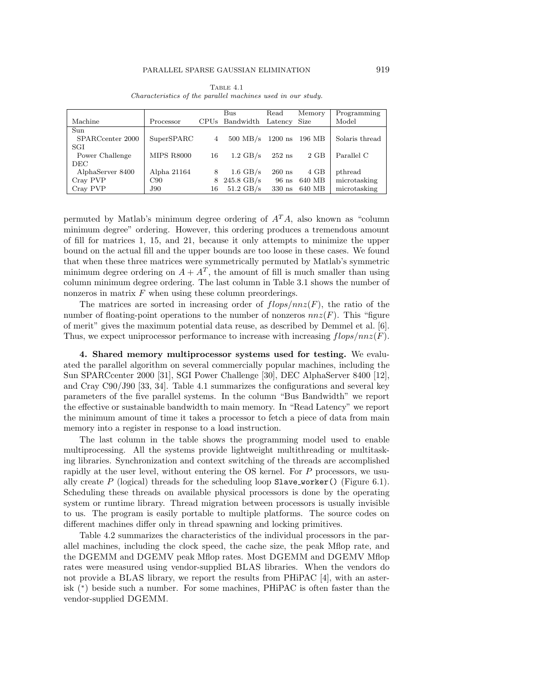|                  |                   |    | Bus                 | Read             | Memory | Programming    |
|------------------|-------------------|----|---------------------|------------------|--------|----------------|
| Machine          | Processor         |    | CPUs Bandwidth      | $\text{Latency}$ | Size   | Model          |
| Sun              |                   |    |                     |                  |        |                |
| SPARCcenter 2000 | SuperSPARC        | 4  | $500$ MB/s          | $1200$ ns        | 196 MB | Solaris thread |
| SGI              |                   |    |                     |                  |        |                |
| Power Challenge  | <b>MIPS R8000</b> | 16 | $1.2 \text{ GB/s}$  | $252$ ns         | $2$ GB | Parallel C     |
| DEC.             |                   |    |                     |                  |        |                |
| AlphaServer 8400 | Alpha 21164       | 8  | $1.6 \text{ GB/s}$  | $260$ ns         | 4 GB   | pthread        |
| Cray PVP         | C90               | 8  | $245.8$ GB/s        | $96$ ns          | 640 MB | microtasking   |
| Cray PVP         | <b>J90</b>        | 16 | $51.2 \text{ GB/s}$ | $330$ ns         | 640 MB | microtasking   |

Table 4.1 Characteristics of the parallel machines used in our study.

permuted by Matlab's minimum degree ordering of  $A<sup>T</sup>A$ , also known as "column minimum degree" ordering. However, this ordering produces a tremendous amount of fill for matrices 1, 15, and 21, because it only attempts to minimize the upper bound on the actual fill and the upper bounds are too loose in these cases. We found that when these three matrices were symmetrically permuted by Matlab's symmetric minimum degree ordering on  $A + A<sup>T</sup>$ , the amount of fill is much smaller than using column minimum degree ordering. The last column in Table 3.1 shows the number of nonzeros in matrix  $F$  when using these column preorderings.

The matrices are sorted in increasing order of  $flops/nnz(F)$ , the ratio of the number of floating-point operations to the number of nonzeros  $nnz(F)$ . This "figure of merit" gives the maximum potential data reuse, as described by Demmel et al. [6]. Thus, we expect uniprocessor performance to increase with increasing  $flops/nnz(F)$ .

**4. Shared memory multiprocessor systems used for testing.** We evaluated the parallel algorithm on several commercially popular machines, including the Sun SPARCcenter 2000 [31], SGI Power Challenge [30], DEC AlphaServer 8400 [12], and Cray C90/J90 [33, 34]. Table 4.1 summarizes the configurations and several key parameters of the five parallel systems. In the column "Bus Bandwidth" we report the effective or sustainable bandwidth to main memory. In "Read Latency" we report the minimum amount of time it takes a processor to fetch a piece of data from main memory into a register in response to a load instruction.

The last column in the table shows the programming model used to enable multiprocessing. All the systems provide lightweight multithreading or multitasking libraries. Synchronization and context switching of the threads are accomplished rapidly at the user level, without entering the OS kernel. For P processors, we usually create P (logical) threads for the scheduling loop  $Slave\_worker()$  (Figure 6.1). Scheduling these threads on available physical processors is done by the operating system or runtime library. Thread migration between processors is usually invisible to us. The program is easily portable to multiple platforms. The source codes on different machines differ only in thread spawning and locking primitives.

Table 4.2 summarizes the characteristics of the individual processors in the parallel machines, including the clock speed, the cache size, the peak Mflop rate, and the DGEMM and DGEMV peak Mflop rates. Most DGEMM and DGEMV Mflop rates were measured using vendor-supplied BLAS libraries. When the vendors do not provide a BLAS library, we report the results from PHiPAC [4], with an asterisk (∗) beside such a number. For some machines, PHiPAC is often faster than the vendor-supplied DGEMM.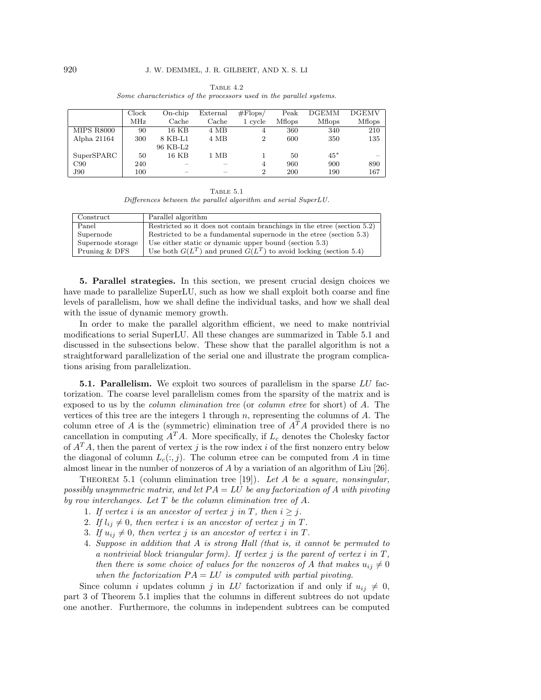|                   | Clock | On-chip  | External | $\#\text{Flops}/$ | Peak           | <b>DGEMM</b>   | <b>DGEMV</b>   |
|-------------------|-------|----------|----------|-------------------|----------------|----------------|----------------|
|                   | MHz   | Cache    | Cache    | 1 cycle           | <b>M</b> flops | <b>M</b> flops | <b>M</b> flops |
| <b>MIPS R8000</b> | 90    | 16 KB    | 4 MB     | 4                 | 360            | 340            | 210            |
| Alpha 21164       | 300   | 8 KB-L1  | 4 MB     | $\overline{2}$    | 600            | 350            | 135            |
|                   |       | 96 KB-L2 |          |                   |                |                |                |
| SuperSPARC        | 50    | 16 KB    | 1 MB     |                   | 50             | $45*$          |                |
| C90               | 240   |          |          | 4                 | 960            | 900            | 890            |
| J90               | 100   |          |          | $\overline{2}$    | 200            | 190            | 167            |

Table 4.2 Some characteristics of the processors used in the parallel systems.

Table 5.1 Differences between the parallel algorithm and serial SuperLU.

| Construct         | Parallel algorithm                                                         |
|-------------------|----------------------------------------------------------------------------|
| Panel             | Restricted so it does not contain branchings in the etree (section $5.2$ ) |
| Supernode         | Restricted to be a fundamental supernode in the etree (section 5.3)        |
| Supernode storage | Use either static or dynamic upper bound (section 5.3)                     |
| Pruning & DFS     | Use both $G(L^T)$ and pruned $G(L^T)$ to avoid locking (section 5.4)       |
|                   |                                                                            |

**5. Parallel strategies.** In this section, we present crucial design choices we have made to parallelize SuperLU, such as how we shall exploit both coarse and fine levels of parallelism, how we shall define the individual tasks, and how we shall deal with the issue of dynamic memory growth.

In order to make the parallel algorithm efficient, we need to make nontrivial modifications to serial SuperLU. All these changes are summarized in Table 5.1 and discussed in the subsections below. These show that the parallel algorithm is not a straightforward parallelization of the serial one and illustrate the program complications arising from parallelization.

**5.1. Parallelism.** We exploit two sources of parallelism in the sparse LU factorization. The coarse level parallelism comes from the sparsity of the matrix and is exposed to us by the column elimination tree (or column etree for short) of A. The vertices of this tree are the integers 1 through  $n$ , representing the columns of  $A$ . The column etree of A is the (symmetric) elimination tree of  $A<sup>T</sup>A$  provided there is no cancellation in computing  $A<sup>T</sup>A$ . More specifically, if  $L<sub>c</sub>$  denotes the Cholesky factor of  $A<sup>T</sup>A$ , then the parent of vertex j is the row index i of the first nonzero entry below the diagonal of column  $L_c(:,j)$ . The column etree can be computed from A in time almost linear in the number of nonzeros of A by a variation of an algorithm of Liu [26].

THEOREM 5.1 (column elimination tree [19]). Let A be a square, nonsingular, possibly unsymmetric matrix, and let  $PA = LU$  be any factorization of A with pivoting by row interchanges. Let  $T$  be the column elimination tree of  $A$ .

- 1. If vertex *i* is an ancestor of vertex *j* in *T*, then  $i \geq j$ .
- 2. If  $l_{ij} \neq 0$ , then vertex i is an ancestor of vertex j in T.
- 3. If  $u_{ij} \neq 0$ , then vertex j is an ancestor of vertex i in T.
- 4. Suppose in addition that A is strong Hall (that is, it cannot be permuted to a nontrivial block triangular form). If vertex  $j$  is the parent of vertex  $i$  in  $T$ , then there is some choice of values for the nonzeros of A that makes  $u_{ij} \neq 0$ when the factorization  $PA = LU$  is computed with partial pivoting.

Since column i updates column j in LU factorization if and only if  $u_{ij} \neq 0$ , part 3 of Theorem 5.1 implies that the columns in different subtrees do not update one another. Furthermore, the columns in independent subtrees can be computed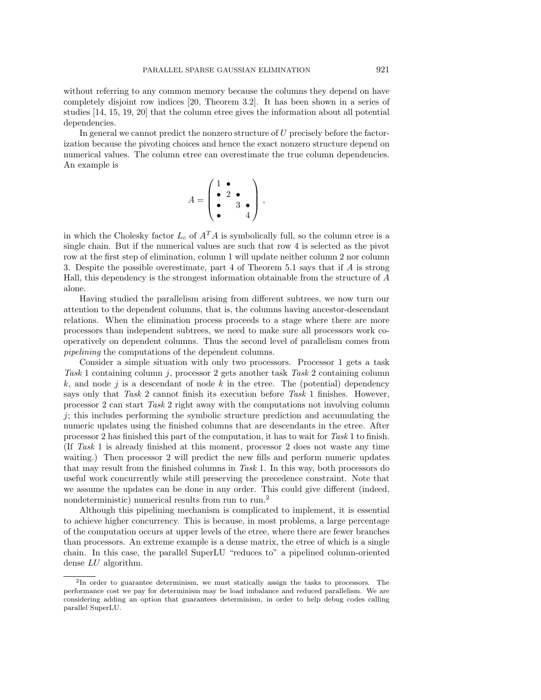without referring to any common memory because the columns they depend on have completely disjoint row indices [20, Theorem 3.2]. It has been shown in a series of studies [14, 15, 19, 20] that the column etree gives the information about all potential dependencies.

In general we cannot predict the nonzero structure of  $U$  precisely before the factorization because the pivoting choices and hence the exact nonzero structure depend on numerical values. The column etree can overestimate the true column dependencies. An example is

$$
A = \begin{pmatrix} 1 & \bullet \\ \bullet & 2 & \bullet \\ \bullet & & 3 & \bullet \\ \bullet & & & 4 \end{pmatrix},
$$

in which the Cholesky factor  $L_c$  of  $A<sup>T</sup>A$  is symbolically full, so the column etree is a single chain. But if the numerical values are such that row 4 is selected as the pivot row at the first step of elimination, column 1 will update neither column 2 nor column 3. Despite the possible overestimate, part 4 of Theorem 5.1 says that if A is strong Hall, this dependency is the strongest information obtainable from the structure of A alone.

Having studied the parallelism arising from different subtrees, we now turn our attention to the dependent columns, that is, the columns having ancestor-descendant relations. When the elimination process proceeds to a stage where there are more processors than independent subtrees, we need to make sure all processors work cooperatively on dependent columns. Thus the second level of parallelism comes from pipelining the computations of the dependent columns.

Consider a simple situation with only two processors. Processor 1 gets a task Task 1 containing column j, processor 2 gets another task Task 2 containing column  $k$ , and node j is a descendant of node k in the etree. The (potential) dependency says only that Task 2 cannot finish its execution before Task 1 finishes. However, processor 2 can start Task 2 right away with the computations not involving column  $j$ ; this includes performing the symbolic structure prediction and accumulating the numeric updates using the finished columns that are descendants in the etree. After processor 2 has finished this part of the computation, it has to wait for Task 1 to finish. (If Task 1 is already finished at this moment, processor 2 does not waste any time waiting.) Then processor 2 will predict the new fills and perform numeric updates that may result from the finished columns in Task 1. In this way, both processors do useful work concurrently while still preserving the precedence constraint. Note that we assume the updates can be done in any order. This could give different (indeed, nondeterministic) numerical results from run to run.<sup>2</sup>

Although this pipelining mechanism is complicated to implement, it is essential to achieve higher concurrency. This is because, in most problems, a large percentage of the computation occurs at upper levels of the etree, where there are fewer branches than processors. An extreme example is a dense matrix, the etree of which is a single chain. In this case, the parallel SuperLU "reduces to" a pipelined column-oriented dense LU algorithm.

<sup>2</sup>In order to guarantee determinism, we must statically assign the tasks to processors. The performance cost we pay for determinism may be load imbalance and reduced parallelism. We are considering adding an option that guarantees determinism, in order to help debug codes calling parallel SuperLU.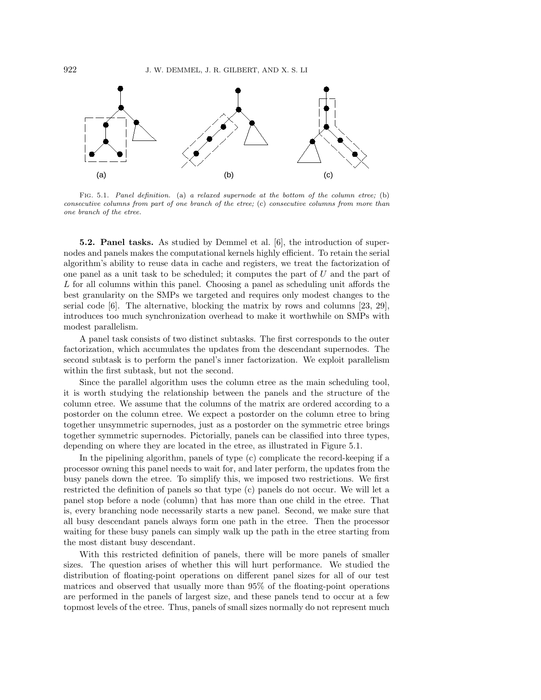

FIG. 5.1. Panel definition. (a) a relaxed supernode at the bottom of the column etree; (b) consecutive columns from part of one branch of the etree; (c) consecutive columns from more than one branch of the etree.

**5.2. Panel tasks.** As studied by Demmel et al. [6], the introduction of supernodes and panels makes the computational kernels highly efficient. To retain the serial algorithm's ability to reuse data in cache and registers, we treat the factorization of one panel as a unit task to be scheduled; it computes the part of  $U$  and the part of L for all columns within this panel. Choosing a panel as scheduling unit affords the best granularity on the SMPs we targeted and requires only modest changes to the serial code [6]. The alternative, blocking the matrix by rows and columns [23, 29], introduces too much synchronization overhead to make it worthwhile on SMPs with modest parallelism.

A panel task consists of two distinct subtasks. The first corresponds to the outer factorization, which accumulates the updates from the descendant supernodes. The second subtask is to perform the panel's inner factorization. We exploit parallelism within the first subtask, but not the second.

Since the parallel algorithm uses the column etree as the main scheduling tool, it is worth studying the relationship between the panels and the structure of the column etree. We assume that the columns of the matrix are ordered according to a postorder on the column etree. We expect a postorder on the column etree to bring together unsymmetric supernodes, just as a postorder on the symmetric etree brings together symmetric supernodes. Pictorially, panels can be classified into three types, depending on where they are located in the etree, as illustrated in Figure 5.1.

In the pipelining algorithm, panels of type (c) complicate the record-keeping if a processor owning this panel needs to wait for, and later perform, the updates from the busy panels down the etree. To simplify this, we imposed two restrictions. We first restricted the definition of panels so that type (c) panels do not occur. We will let a panel stop before a node (column) that has more than one child in the etree. That is, every branching node necessarily starts a new panel. Second, we make sure that all busy descendant panels always form one path in the etree. Then the processor waiting for these busy panels can simply walk up the path in the etree starting from the most distant busy descendant.

With this restricted definition of panels, there will be more panels of smaller sizes. The question arises of whether this will hurt performance. We studied the distribution of floating-point operations on different panel sizes for all of our test matrices and observed that usually more than 95% of the floating-point operations are performed in the panels of largest size, and these panels tend to occur at a few topmost levels of the etree. Thus, panels of small sizes normally do not represent much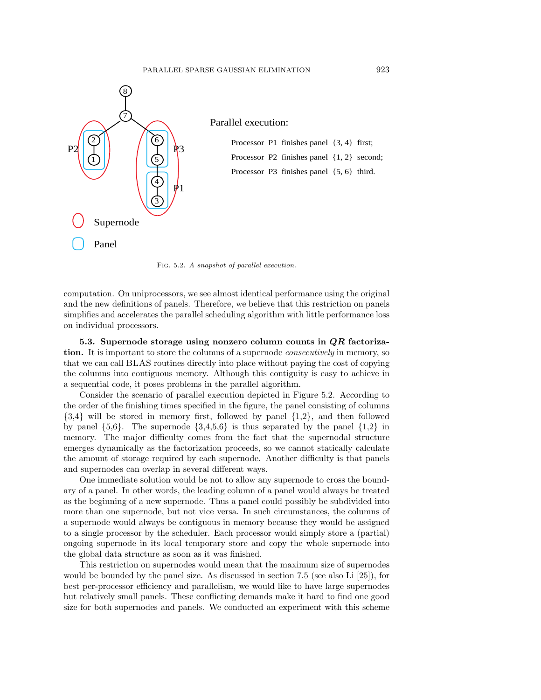

FIG. 5.2. A snapshot of parallel execution.

computation. On uniprocessors, we see almost identical performance using the original and the new definitions of panels. Therefore, we believe that this restriction on panels simplifies and accelerates the parallel scheduling algorithm with little performance loss on individual processors.

**5.3. Supernode storage using nonzero column counts in** *QR* **factorization.** It is important to store the columns of a supernode *consecutively* in memory, so that we can call BLAS routines directly into place without paying the cost of copying the columns into contiguous memory. Although this contiguity is easy to achieve in a sequential code, it poses problems in the parallel algorithm.

Consider the scenario of parallel execution depicted in Figure 5.2. According to the order of the finishing times specified in the figure, the panel consisting of columns {3,4} will be stored in memory first, followed by panel {1,2}, and then followed by panel  $\{5.6\}$ . The supernode  $\{3.4,5.6\}$  is thus separated by the panel  $\{1.2\}$  in memory. The major difficulty comes from the fact that the supernodal structure emerges dynamically as the factorization proceeds, so we cannot statically calculate the amount of storage required by each supernode. Another difficulty is that panels and supernodes can overlap in several different ways.

One immediate solution would be not to allow any supernode to cross the boundary of a panel. In other words, the leading column of a panel would always be treated as the beginning of a new supernode. Thus a panel could possibly be subdivided into more than one supernode, but not vice versa. In such circumstances, the columns of a supernode would always be contiguous in memory because they would be assigned to a single processor by the scheduler. Each processor would simply store a (partial) ongoing supernode in its local temporary store and copy the whole supernode into the global data structure as soon as it was finished.

This restriction on supernodes would mean that the maximum size of supernodes would be bounded by the panel size. As discussed in section 7.5 (see also Li [25]), for best per-processor efficiency and parallelism, we would like to have large supernodes but relatively small panels. These conflicting demands make it hard to find one good size for both supernodes and panels. We conducted an experiment with this scheme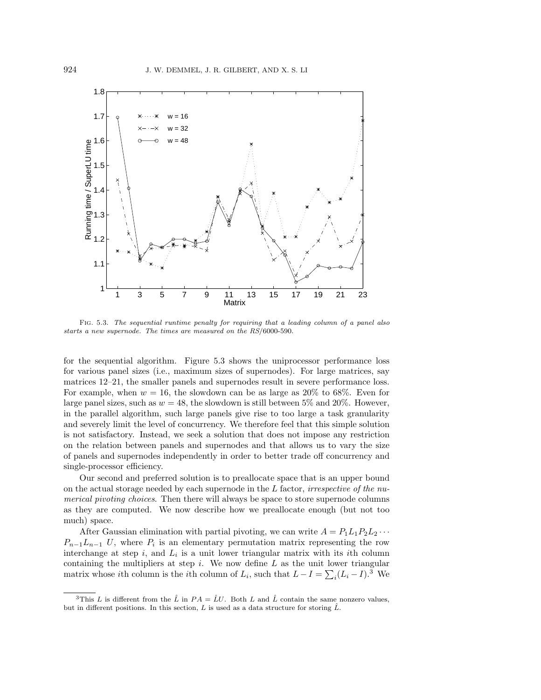

Fig. 5.3. The sequential runtime penalty for requiring that a leading column of a panel also starts a new supernode. The times are measured on the RS/6000-590.

for the sequential algorithm. Figure 5.3 shows the uniprocessor performance loss for various panel sizes (i.e., maximum sizes of supernodes). For large matrices, say matrices 12–21, the smaller panels and supernodes result in severe performance loss. For example, when  $w = 16$ , the slowdown can be as large as 20% to 68%. Even for large panel sizes, such as  $w = 48$ , the slowdown is still between 5% and 20%. However, in the parallel algorithm, such large panels give rise to too large a task granularity and severely limit the level of concurrency. We therefore feel that this simple solution is not satisfactory. Instead, we seek a solution that does not impose any restriction on the relation between panels and supernodes and that allows us to vary the size of panels and supernodes independently in order to better trade off concurrency and single-processor efficiency.

Our second and preferred solution is to preallocate space that is an upper bound on the actual storage needed by each supernode in the  $L$  factor, *irrespective of the nu*merical pivoting choices. Then there will always be space to store supernode columns as they are computed. We now describe how we preallocate enough (but not too much) space.

After Gaussian elimination with partial pivoting, we can write  $A = P_1L_1P_2L_2 \cdots$  $P_{n-1}L_{n-1}$  U, where  $P_i$  is an elementary permutation matrix representing the row interchange at step  $i$ , and  $L_i$  is a unit lower triangular matrix with its *i*th column containing the multipliers at step  $i$ . We now define  $L$  as the unit lower triangular matrix whose *i*th column is the *i*th column of  $L_i$ , such that  $L - I = \sum_i (L_i - I)$ .<sup>3</sup> We

<sup>&</sup>lt;sup>3</sup>This L is different from the  $\hat{L}$  in  $PA = \hat{L}U$ . Both L and  $\hat{L}$  contain the same nonzero values, but in different positions. In this section, L is used as a data structure for storing  $\hat{L}$ .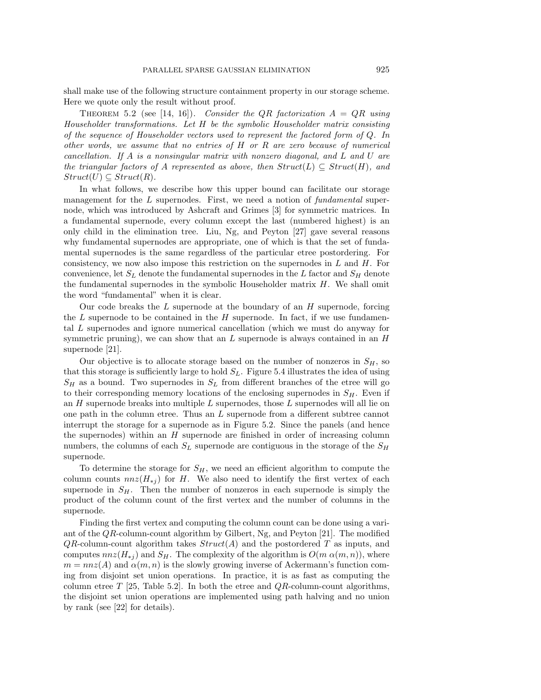shall make use of the following structure containment property in our storage scheme. Here we quote only the result without proof.

THEOREM 5.2 (see [14, 16]). Consider the QR factorization  $A = QR$  using Householder transformations. Let H be the symbolic Householder matrix consisting of the sequence of Householder vectors used to represent the factored form of Q. In other words, we assume that no entries of H or R are zero because of numerical cancellation. If A is a nonsingular matrix with nonzero diagonal, and L and U are the triangular factors of A represented as above, then  $Struct(L) \subseteq Struct(H)$ , and  $Struct(U) \subseteq Struct(R)$ .

In what follows, we describe how this upper bound can facilitate our storage management for the  $L$  supernodes. First, we need a notion of fundamental supernode, which was introduced by Ashcraft and Grimes [3] for symmetric matrices. In a fundamental supernode, every column except the last (numbered highest) is an only child in the elimination tree. Liu, Ng, and Peyton [27] gave several reasons why fundamental supernodes are appropriate, one of which is that the set of fundamental supernodes is the same regardless of the particular etree postordering. For consistency, we now also impose this restriction on the supernodes in  $L$  and  $H$ . For convenience, let  $S_L$  denote the fundamental supernodes in the L factor and  $S_H$  denote the fundamental supernodes in the symbolic Householder matrix  $H$ . We shall omit the word "fundamental" when it is clear.

Our code breaks the  $L$  supernode at the boundary of an  $H$  supernode, forcing the L supernode to be contained in the H supernode. In fact, if we use fundamental L supernodes and ignore numerical cancellation (which we must do anyway for symmetric pruning), we can show that an  $L$  supernode is always contained in an  $H$ supernode [21].

Our objective is to allocate storage based on the number of nonzeros in  $S_H$ , so that this storage is sufficiently large to hold  $S_L$ . Figure 5.4 illustrates the idea of using  $S_H$  as a bound. Two supernodes in  $S_L$  from different branches of the etree will go to their corresponding memory locations of the enclosing supernodes in  $S_H$ . Even if an  $H$  supernode breaks into multiple  $L$  supernodes, those  $L$  supernodes will all lie on one path in the column etree. Thus an L supernode from a different subtree cannot interrupt the storage for a supernode as in Figure 5.2. Since the panels (and hence the supernodes) within an  $H$  supernode are finished in order of increasing column numbers, the columns of each  $S_L$  supernode are contiguous in the storage of the  $S_H$ supernode.

To determine the storage for  $S_H$ , we need an efficient algorithm to compute the column counts  $nnz(H_{*j})$  for H. We also need to identify the first vertex of each supernode in  $S_H$ . Then the number of nonzeros in each supernode is simply the product of the column count of the first vertex and the number of columns in the supernode.

Finding the first vertex and computing the column count can be done using a variant of the  $QR$ -column-count algorithm by Gilbert, Ng, and Peyton [21]. The modified  $QR$ -column-count algorithm takes  $Struct(A)$  and the postordered T as inputs, and computes  $nnz(H_{*j})$  and  $S_H$ . The complexity of the algorithm is  $O(m \alpha(m,n))$ , where  $m = nnz(A)$  and  $\alpha(m, n)$  is the slowly growing inverse of Ackermann's function coming from disjoint set union operations. In practice, it is as fast as computing the column etree  $T$  [25, Table 5.2]. In both the etree and  $QR$ -column-count algorithms, the disjoint set union operations are implemented using path halving and no union by rank (see [22] for details).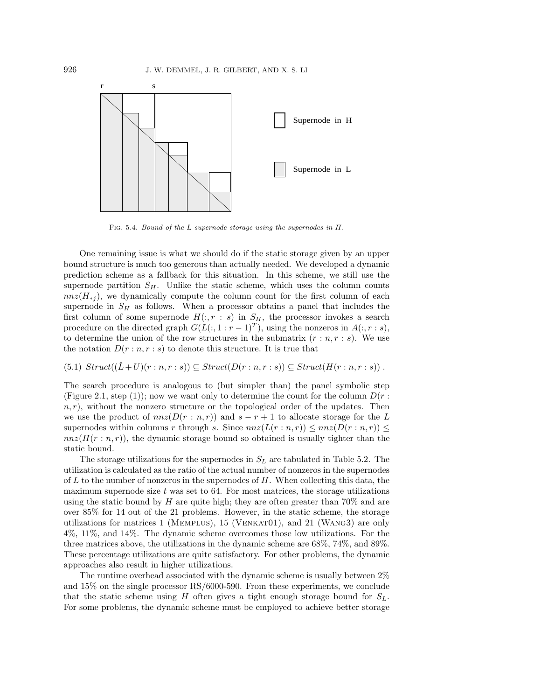

Fig. 5.4. Bound of the L supernode storage using the supernodes in H.

One remaining issue is what we should do if the static storage given by an upper bound structure is much too generous than actually needed. We developed a dynamic prediction scheme as a fallback for this situation. In this scheme, we still use the supernode partition  $S_H$ . Unlike the static scheme, which uses the column counts  $nnz(H_{*j})$ , we dynamically compute the column count for the first column of each supernode in  $S_H$  as follows. When a processor obtains a panel that includes the first column of some supernode  $H(:, r : s)$  in  $S_H$ , the processor invokes a search procedure on the directed graph  $G(L(:, 1 : r - 1)^T)$ , using the nonzeros in  $A(:, r : s)$ , to determine the union of the row structures in the submatrix  $(r : n, r : s)$ . We use the notation  $D(r:n,r:s)$  to denote this structure. It is true that

## $(S.1) \; Struct((\hat{L}+U)(r:n,r:s)) \subseteq Struct(D(r:n,r:s)) \subseteq Struct(H(r:n,r:s))$ .

The search procedure is analogous to (but simpler than) the panel symbolic step (Figure 2.1, step (1)); now we want only to determine the count for the column  $D(r:$  $n, r$ , without the nonzero structure or the topological order of the updates. Then we use the product of  $nnz(D(r:n,r))$  and  $s-r+1$  to allocate storage for the L supernodes within columns r through s. Since  $nnz(L(r:n,r)) \leq nnz(D(r:n,r)) \leq$  $nnz(H(r:n,r))$ , the dynamic storage bound so obtained is usually tighter than the static bound.

The storage utilizations for the supernodes in  $S_L$  are tabulated in Table 5.2. The utilization is calculated as the ratio of the actual number of nonzeros in the supernodes of  $L$  to the number of nonzeros in the supernodes of  $H$ . When collecting this data, the maximum supernode size  $t$  was set to 64. For most matrices, the storage utilizations using the static bound by  $H$  are quite high; they are often greater than 70% and are over 85% for 14 out of the 21 problems. However, in the static scheme, the storage utilizations for matrices 1 (Memplus), 15 (Venkat01), and 21 (Wang3) are only 4%, 11%, and 14%. The dynamic scheme overcomes those low utilizations. For the three matrices above, the utilizations in the dynamic scheme are 68%, 74%, and 89%. These percentage utilizations are quite satisfactory. For other problems, the dynamic approaches also result in higher utilizations.

The runtime overhead associated with the dynamic scheme is usually between 2% and 15% on the single processor RS/6000-590. From these experiments, we conclude that the static scheme using H often gives a tight enough storage bound for  $S_L$ . For some problems, the dynamic scheme must be employed to achieve better storage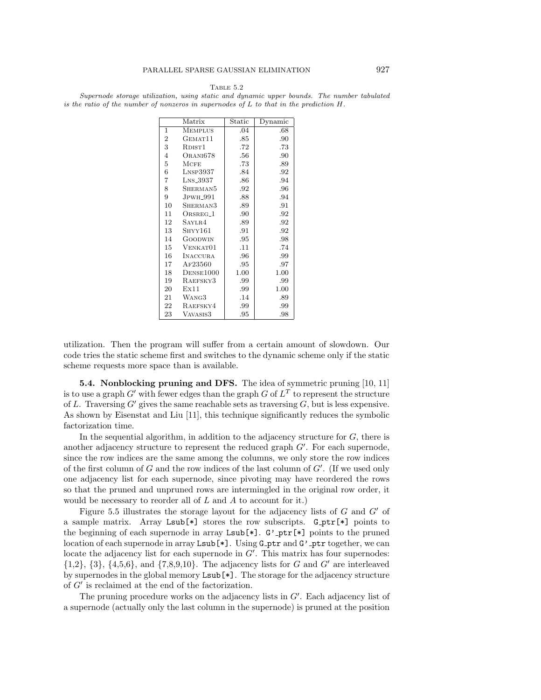Table 5.2

Supernode storage utilization, using static and dynamic upper bounds. The number tabulated is the ratio of the number of nonzeros in supernodes of  $L$  to that in the prediction  $H$ .

|                | Matrix                    | Static | Dynamic |
|----------------|---------------------------|--------|---------|
| 1              | <b>MEMPLUS</b>            | .04    | .68     |
| $\overline{2}$ | GEMAT <sub>11</sub>       | .85    | .90     |
| 3              | RDIST <sub>1</sub>        | .72    | .73     |
| $\overline{4}$ | ORANI678                  | .56    | .90     |
| $\overline{5}$ | <b>MCFE</b>               | .73    | .89     |
| 6              | $L$ <sub>NSP</sub> $3937$ | .84    | .92     |
| 7              | LNS_3937                  | .86    | .94     |
| 8              | SHERMAN5                  | .92    | .96     |
| 9              | $J$ PWH $\_991$           | .88    | .94     |
| 10             | SHERMAN3                  | .89    | .91     |
| 11             | ORSREG <sub>-1</sub>      | .90    | .92     |
| 12             | SAYLR4                    | .89    | .92     |
| 13             | SHYY161                   | .91    | .92     |
| 14             | GOODWIN                   | .95    | .98     |
| 15             | VENKAT01                  | .11    | .74     |
| 16             | INACCURA                  | .96    | .99     |
| 17             | AF23560                   | .95    | .97     |
| 18             | DENSE1000                 | 1.00   | 1.00    |
| 19             | RAEFSKY3                  | .99    | .99     |
| 20             | Ex11                      | .99    | 1.00    |
| 21             | WANG3                     | .14    | .89     |
| 22             | RAEFSKY4                  | .99    | .99     |
| 23             | VAVASIS3                  | .95    | .98     |

utilization. Then the program will suffer from a certain amount of slowdown. Our code tries the static scheme first and switches to the dynamic scheme only if the static scheme requests more space than is available.

**5.4. Nonblocking pruning and DFS.** The idea of symmetric pruning [10, 11] is to use a graph  $G'$  with fewer edges than the graph G of  $L^T$  to represent the structure of L. Traversing  $G'$  gives the same reachable sets as traversing  $G$ , but is less expensive. As shown by Eisenstat and Liu [11], this technique significantly reduces the symbolic factorization time.

In the sequential algorithm, in addition to the adjacency structure for  $G$ , there is another adjacency structure to represent the reduced graph  $G'$ . For each supernode, since the row indices are the same among the columns, we only store the row indices of the first column of  $G$  and the row indices of the last column of  $G'$ . (If we used only one adjacency list for each supernode, since pivoting may have reordered the rows so that the pruned and unpruned rows are intermingled in the original row order, it would be necessary to reorder all of  $L$  and  $A$  to account for it.)

Figure 5.5 illustrates the storage layout for the adjacency lists of  $G$  and  $G'$  of a sample matrix. Array Lsub [ $\ast$ ] stores the row subscripts. G\_ptr [ $\ast$ ] points to the beginning of each supernode in array  $Lsub[*]$ . G'<sub>-p</sub>tr $[*]$  points to the pruned location of each supernode in array  $\text{Lsub}[*]$ . Using  $\text{Gptr}$  and  $\text{G'}$ -ptr together, we can locate the adjacency list for each supernode in  $G'$ . This matrix has four supernodes:  $\{1,2\}, \{3\}, \{4,5,6\}, \text{ and } \{7,8,9,10\}.$  The adjacency lists for G and G' are interleaved by supernodes in the global memory Lsub[\*]. The storage for the adjacency structure of  $G'$  is reclaimed at the end of the factorization.

The pruning procedure works on the adjacency lists in  $G'$ . Each adjacency list of a supernode (actually only the last column in the supernode) is pruned at the position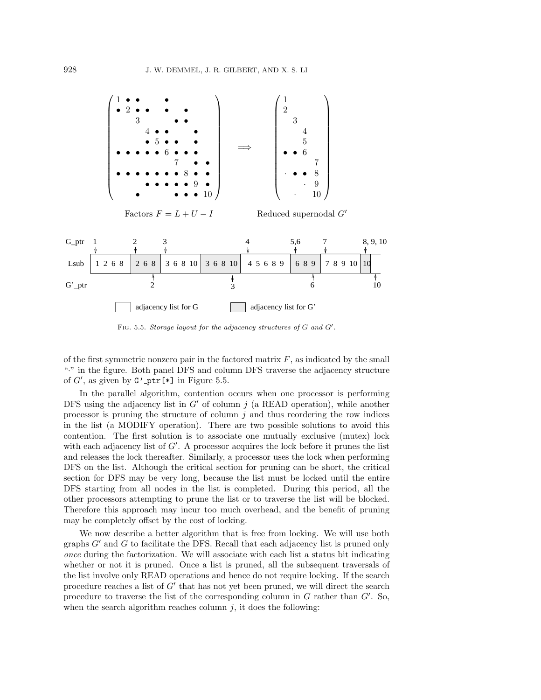

FIG. 5.5. Storage layout for the adjacency structures of  $G$  and  $G'$ .

of the first symmetric nonzero pair in the factored matrix  $F$ , as indicated by the small "·" in the figure. Both panel DFS and column DFS traverse the adjacency structure of  $G'$ , as given by  $G'$ -ptr[\*] in Figure 5.5.

In the parallel algorithm, contention occurs when one processor is performing DFS using the adjacency list in  $G'$  of column j (a READ operation), while another processor is pruning the structure of column  $j$  and thus reordering the row indices in the list (a MODIFY operation). There are two possible solutions to avoid this contention. The first solution is to associate one mutually exclusive (mutex) lock with each adjacency list of  $G'$ . A processor acquires the lock before it prunes the list and releases the lock thereafter. Similarly, a processor uses the lock when performing DFS on the list. Although the critical section for pruning can be short, the critical section for DFS may be very long, because the list must be locked until the entire DFS starting from all nodes in the list is completed. During this period, all the other processors attempting to prune the list or to traverse the list will be blocked. Therefore this approach may incur too much overhead, and the benefit of pruning may be completely offset by the cost of locking.

We now describe a better algorithm that is free from locking. We will use both graphs  $G'$  and  $G$  to facilitate the DFS. Recall that each adjacency list is pruned only once during the factorization. We will associate with each list a status bit indicating whether or not it is pruned. Once a list is pruned, all the subsequent traversals of the list involve only READ operations and hence do not require locking. If the search procedure reaches a list of  $G'$  that has not yet been pruned, we will direct the search procedure to traverse the list of the corresponding column in  $G$  rather than  $G'$ . So, when the search algorithm reaches column  $j$ , it does the following: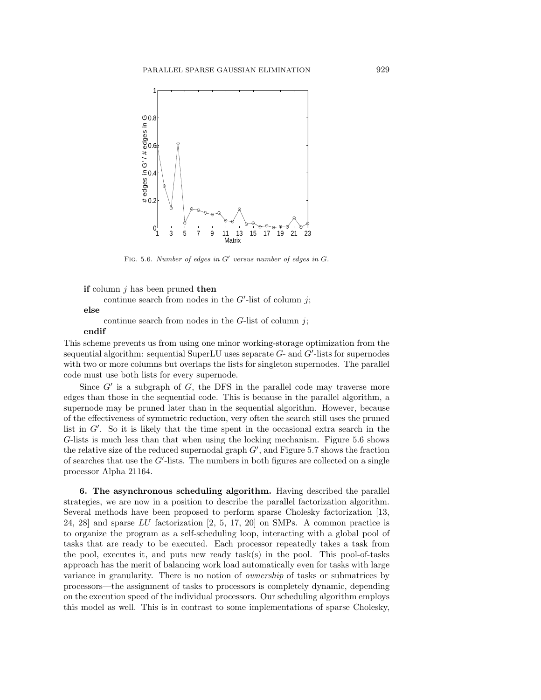

FIG. 5.6. Number of edges in  $G'$  versus number of edges in  $G$ .

#### **if** column j has been pruned **then**

continue search from nodes in the  $G'$ -list of column j;

### **else**

continue search from nodes in the  $G$ -list of column j;

#### **endif**

This scheme prevents us from using one minor working-storage optimization from the sequential algorithm: sequential SuperLU uses separate  $G$ - and  $G'$ -lists for supernodes with two or more columns but overlaps the lists for singleton supernodes. The parallel code must use both lists for every supernode.

Since  $G'$  is a subgraph of  $G$ , the DFS in the parallel code may traverse more edges than those in the sequential code. This is because in the parallel algorithm, a supernode may be pruned later than in the sequential algorithm. However, because of the effectiveness of symmetric reduction, very often the search still uses the pruned list in  $G'$ . So it is likely that the time spent in the occasional extra search in the G-lists is much less than that when using the locking mechanism. Figure 5.6 shows the relative size of the reduced supernodal graph  $G'$ , and Figure 5.7 shows the fraction of searches that use the  $G'$ -lists. The numbers in both figures are collected on a single processor Alpha 21164.

**6. The asynchronous scheduling algorithm.** Having described the parallel strategies, we are now in a position to describe the parallel factorization algorithm. Several methods have been proposed to perform sparse Cholesky factorization [13, 24, 28] and sparse LU factorization [2, 5, 17, 20] on SMPs. A common practice is to organize the program as a self-scheduling loop, interacting with a global pool of tasks that are ready to be executed. Each processor repeatedly takes a task from the pool, executes it, and puts new ready task(s) in the pool. This pool-of-tasks approach has the merit of balancing work load automatically even for tasks with large variance in granularity. There is no notion of ownership of tasks or submatrices by processors—the assignment of tasks to processors is completely dynamic, depending on the execution speed of the individual processors. Our scheduling algorithm employs this model as well. This is in contrast to some implementations of sparse Cholesky,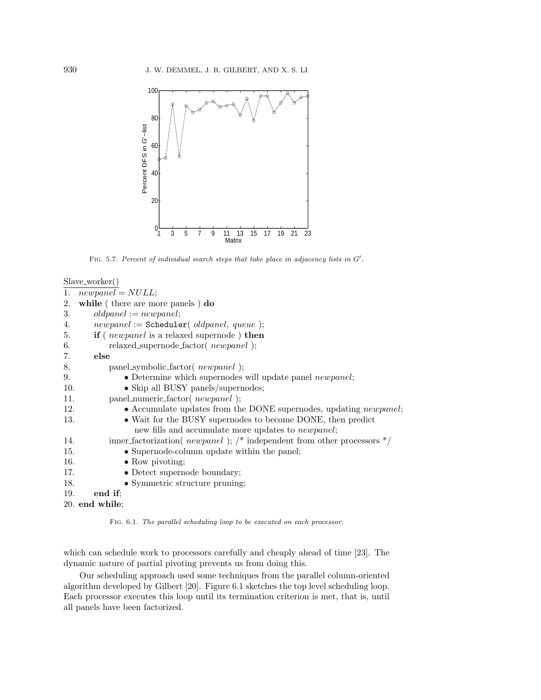

FIG. 5.7. Percent of individual search steps that take place in adjacency lists in  $G'$ .

```
Slave worker()
```

| 1.  | $newpanel = NULL;$                                                        |
|-----|---------------------------------------------------------------------------|
| 2.  | while (there are more panels) do                                          |
| 3.  | $oldpanel := new panel;$                                                  |
| 4.  | $newpanel := \text{Scheduling}(\text{oldpanel}, \text{queue});$           |
| 5.  | if ( <i>newpanel</i> is a relaxed supernode ) then                        |
| 6.  | relaxed_supernode_factor(newpanel);                                       |
| 7.  | else                                                                      |
| 8.  | panel_symbolic_factor( newpanel);                                         |
| 9.  | • Determine which supernodes will update panel <i>newpanel</i> ;          |
| 10. | • Skip all BUSY panels/supernodes;                                        |
| 11. | panel_numeric_factor(newpanel);                                           |
| 12. | • Accumulate updates from the DONE supernodes, updating <i>newpanel</i> ; |
| 13. | • Wait for the BUSY supernodes to become DONE, then predict               |
|     | new fills and accumulate more updates to <i>newpanel</i> ;                |
| 14. | inner_factorization( newpanel); /* independent from other processors $*/$ |
| 15. | • Supernode-column update within the panel;                               |
| 16. | $\bullet$ Row pivoting;                                                   |
| 17. | • Detect supernode boundary;                                              |
| 18. | • Symmetric structure pruning;                                            |
| 19. | end if:                                                                   |
|     | $20.$ end while;                                                          |

Fig. 6.1. The parallel scheduling loop to be executed on each processor.

which can schedule work to processors carefully and cheaply ahead of time [23]. The dynamic nature of partial pivoting prevents us from doing this.

Our scheduling approach used some techniques from the parallel column-oriented algorithm developed by Gilbert [20]. Figure 6.1 sketches the top level scheduling loop. Each processor executes this loop until its termination criterion is met, that is, until all panels have been factorized.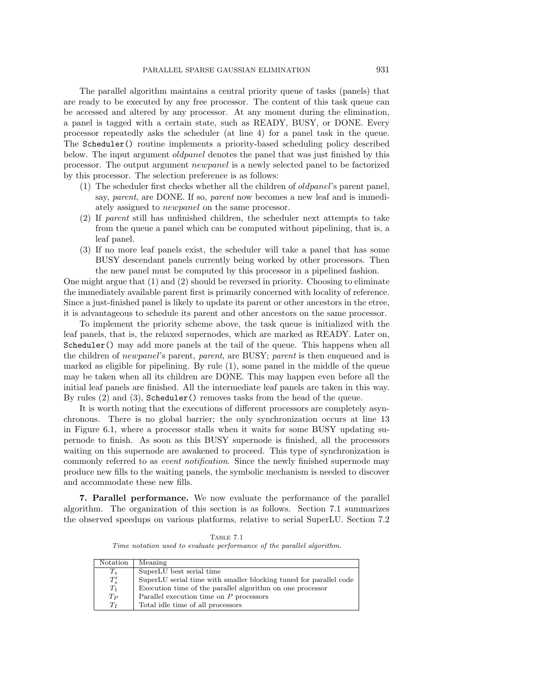The parallel algorithm maintains a central priority queue of tasks (panels) that are ready to be executed by any free processor. The content of this task queue can be accessed and altered by any processor. At any moment during the elimination, a panel is tagged with a certain state, such as READY, BUSY, or DONE. Every processor repeatedly asks the scheduler (at line 4) for a panel task in the queue. The Scheduler() routine implements a priority-based scheduling policy described below. The input argument oldpanel denotes the panel that was just finished by this processor. The output argument newpanel is a newly selected panel to be factorized by this processor. The selection preference is as follows:

- (1) The scheduler first checks whether all the children of oldpanel's parent panel, say, parent, are DONE. If so, parent now becomes a new leaf and is immediately assigned to *newpanel* on the same processor.
- (2) If parent still has unfinished children, the scheduler next attempts to take from the queue a panel which can be computed without pipelining, that is, a leaf panel.
- (3) If no more leaf panels exist, the scheduler will take a panel that has some BUSY descendant panels currently being worked by other processors. Then the new panel must be computed by this processor in a pipelined fashion.

One might argue that (1) and (2) should be reversed in priority. Choosing to eliminate the immediately available parent first is primarily concerned with locality of reference. Since a just-finished panel is likely to update its parent or other ancestors in the etree, it is advantageous to schedule its parent and other ancestors on the same processor.

To implement the priority scheme above, the task queue is initialized with the leaf panels, that is, the relaxed supernodes, which are marked as READY. Later on, Scheduler() may add more panels at the tail of the queue. This happens when all the children of newpanel's parent, parent, are BUSY; parent is then enqueued and is marked as eligible for pipelining. By rule (1), some panel in the middle of the queue may be taken when all its children are DONE. This may happen even before all the initial leaf panels are finished. All the intermediate leaf panels are taken in this way. By rules (2) and (3), Scheduler() removes tasks from the head of the queue.

It is worth noting that the executions of different processors are completely asynchronous. There is no global barrier; the only synchronization occurs at line 13 in Figure 6.1, where a processor stalls when it waits for some BUSY updating supernode to finish. As soon as this BUSY supernode is finished, all the processors waiting on this supernode are awakened to proceed. This type of synchronization is commonly referred to as *event notification*. Since the newly finished supernode may produce new fills to the waiting panels, the symbolic mechanism is needed to discover and accommodate these new fills.

**7. Parallel performance.** We now evaluate the performance of the parallel algorithm. The organization of this section is as follows. Section 7.1 summarizes the observed speedups on various platforms, relative to serial SuperLU. Section 7.2

Table 7.1 Time notation used to evaluate performance of the parallel algorithm.

| Notation       | Meaning                                                           |
|----------------|-------------------------------------------------------------------|
| $T_s$          | SuperLU best serial time                                          |
| $T_s'$         | SuperLU serial time with smaller blocking tuned for parallel code |
| $T_1$          | Execution time of the parallel algorithm on one processor         |
| $T_P$          | Parallel execution time on $P$ processors                         |
| T <sub>r</sub> | Total idle time of all processors                                 |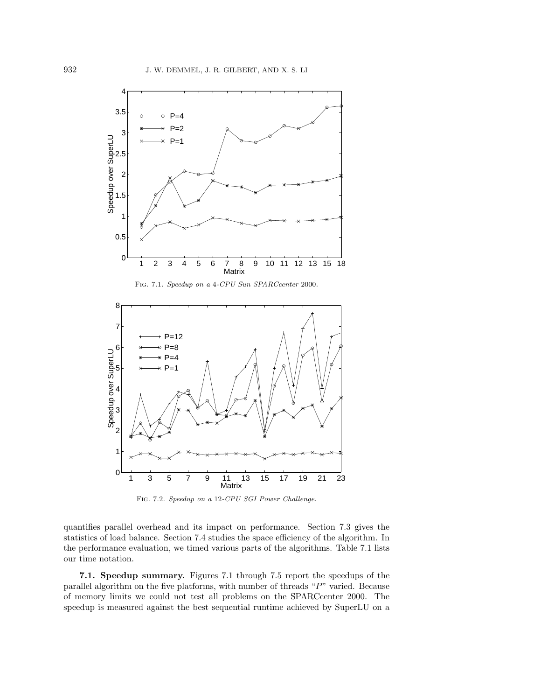

Fig. 7.1. Speedup on a 4-CPU Sun SPARCcenter 2000.



Fig. 7.2. Speedup on a 12-CPU SGI Power Challenge.

quantifies parallel overhead and its impact on performance. Section 7.3 gives the statistics of load balance. Section 7.4 studies the space efficiency of the algorithm. In the performance evaluation, we timed various parts of the algorithms. Table 7.1 lists our time notation.

**7.1. Speedup summary.** Figures 7.1 through 7.5 report the speedups of the parallel algorithm on the five platforms, with number of threads " $P$ " varied. Because of memory limits we could not test all problems on the SPARCcenter 2000. The speedup is measured against the best sequential runtime achieved by SuperLU on a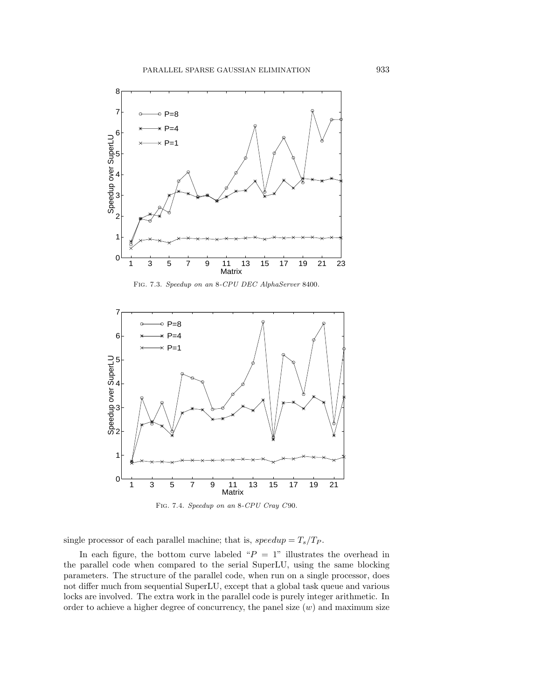

Fig. 7.3. Speedup on an 8-CPU DEC AlphaServer 8400.



Fig. 7.4. Speedup on an 8-CPU Cray C90.

single processor of each parallel machine; that is,  $speedup = T_s/T_P$ .

In each figure, the bottom curve labeled " $P = 1$ " illustrates the overhead in the parallel code when compared to the serial SuperLU, using the same blocking parameters. The structure of the parallel code, when run on a single processor, does not differ much from sequential SuperLU, except that a global task queue and various locks are involved. The extra work in the parallel code is purely integer arithmetic. In order to achieve a higher degree of concurrency, the panel size  $(w)$  and maximum size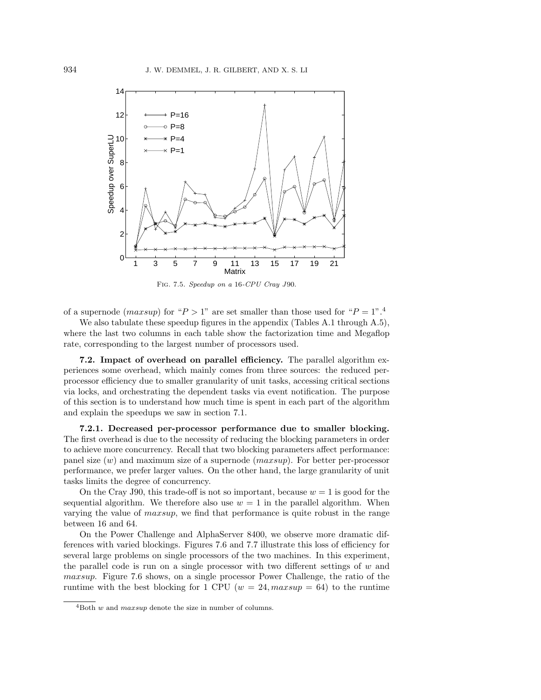

Fig. 7.5. Speedup on a 16-CPU Cray J90.

of a supernode (maxsup) for " $P > 1$ " are set smaller than those used for " $P = 1$ ".<sup>4</sup>

We also tabulate these speedup figures in the appendix (Tables A.1 through A.5), where the last two columns in each table show the factorization time and Megaflop rate, corresponding to the largest number of processors used.

**7.2. Impact of overhead on parallel efficiency.** The parallel algorithm experiences some overhead, which mainly comes from three sources: the reduced perprocessor efficiency due to smaller granularity of unit tasks, accessing critical sections via locks, and orchestrating the dependent tasks via event notification. The purpose of this section is to understand how much time is spent in each part of the algorithm and explain the speedups we saw in section 7.1.

**7.2.1. Decreased per-processor performance due to smaller blocking.** The first overhead is due to the necessity of reducing the blocking parameters in order to achieve more concurrency. Recall that two blocking parameters affect performance: panel size  $(w)$  and maximum size of a supernode  $(maxsup)$ . For better per-processor performance, we prefer larger values. On the other hand, the large granularity of unit tasks limits the degree of concurrency.

On the Cray J90, this trade-off is not so important, because  $w = 1$  is good for the sequential algorithm. We therefore also use  $w = 1$  in the parallel algorithm. When varying the value of maxsup, we find that performance is quite robust in the range between 16 and 64.

On the Power Challenge and AlphaServer 8400, we observe more dramatic differences with varied blockings. Figures 7.6 and 7.7 illustrate this loss of efficiency for several large problems on single processors of the two machines. In this experiment, the parallel code is run on a single processor with two different settings of  $w$  and maxsup. Figure 7.6 shows, on a single processor Power Challenge, the ratio of the runtime with the best blocking for 1 CPU ( $w = 24$ ,  $maxsup = 64$ ) to the runtime

 $4$ Both w and *maxsup* denote the size in number of columns.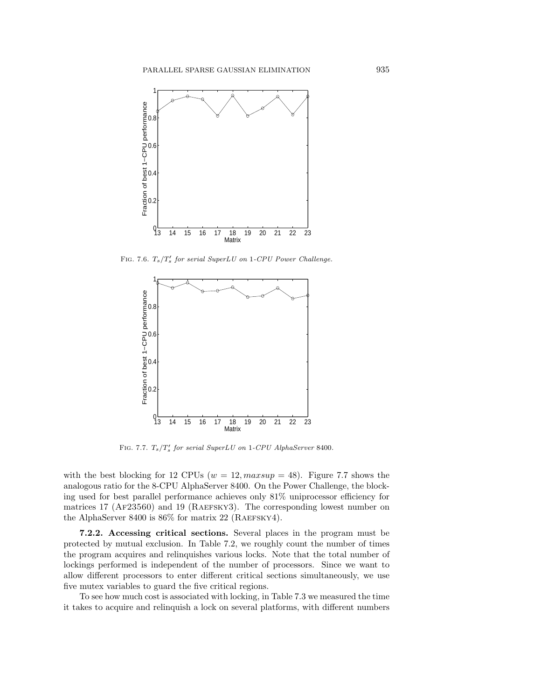

FIG. 7.6.  $T_s/T_s'$  for serial SuperLU on 1-CPU Power Challenge.



FIG. 7.7.  $T_s/T_s'$  for serial SuperLU on 1-CPU AlphaServer 8400.

with the best blocking for 12 CPUs ( $w = 12$ ,  $maxsup = 48$ ). Figure 7.7 shows the analogous ratio for the 8-CPU AlphaServer 8400. On the Power Challenge, the blocking used for best parallel performance achieves only 81% uniprocessor efficiency for matrices 17 ( $AF23560$ ) and 19 ( $RAEFSKY3$ ). The corresponding lowest number on the AlphaServer 8400 is  $86\%$  for matrix 22 (RAEFSKY4).

**7.2.2. Accessing critical sections.** Several places in the program must be protected by mutual exclusion. In Table 7.2, we roughly count the number of times the program acquires and relinquishes various locks. Note that the total number of lockings performed is independent of the number of processors. Since we want to allow different processors to enter different critical sections simultaneously, we use five mutex variables to guard the five critical regions.

To see how much cost is associated with locking, in Table 7.3 we measured the time it takes to acquire and relinquish a lock on several platforms, with different numbers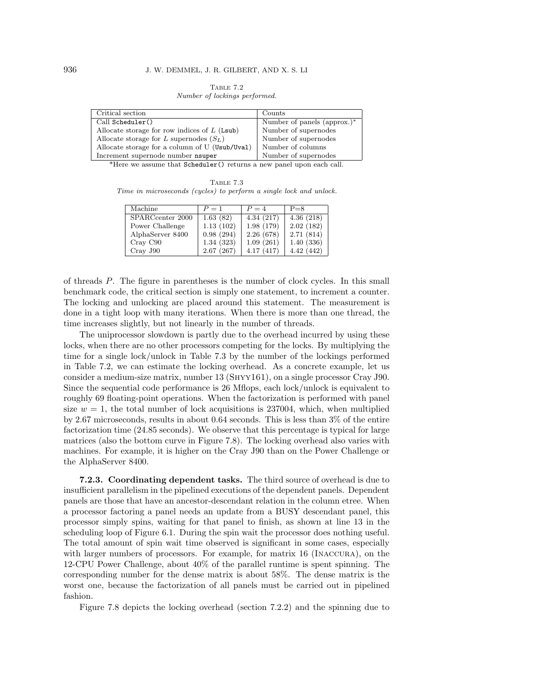Table 7.2 Number of lockings performed.

| Critical section                               | Counts                      |
|------------------------------------------------|-----------------------------|
| $Call$ Scheduler $()$                          | Number of panels (approx.)* |
| Allocate storage for row indices of $L$ (Lsub) | Number of supernodes        |
| Allocate storage for L supernodes $(S_L)$      | Number of supernodes        |
| Allocate storage for a column of U (Usub/Uval) | Number of columns           |
| Increment supernode number nsuper              | Number of supernodes        |

\*Here we assume that Scheduler() returns a new panel upon each call.

TABLE 7.3 Time in microseconds (cycles) to perform a single lock and unlock.

| Machine          | $P=1$     | $P = 4$   | $P = 8$   |
|------------------|-----------|-----------|-----------|
| SPARCcenter 2000 | 1.63(82)  | 4.34(217) | 4.36(218) |
| Power Challenge  | 1.13(102) | 1.98(179) | 2.02(182) |
| AlphaServer 8400 | 0.98(294) | 2.26(678) | 2.71(814) |
| Cray C90         | 1.34(323) | 1.09(261) | 1.40(336) |
| Cray J90         | 2.67(267) | 4.17(417) | 4.42(442) |

of threads P. The figure in parentheses is the number of clock cycles. In this small benchmark code, the critical section is simply one statement, to increment a counter. The locking and unlocking are placed around this statement. The measurement is done in a tight loop with many iterations. When there is more than one thread, the time increases slightly, but not linearly in the number of threads.

The uniprocessor slowdown is partly due to the overhead incurred by using these locks, when there are no other processors competing for the locks. By multiplying the time for a single lock/unlock in Table 7.3 by the number of the lockings performed in Table 7.2, we can estimate the locking overhead. As a concrete example, let us consider a medium-size matrix, number 13 (Shyy161), on a single processor Cray J90. Since the sequential code performance is 26 Mflops, each lock/unlock is equivalent to roughly 69 floating-point operations. When the factorization is performed with panel size  $w = 1$ , the total number of lock acquisitions is 237004, which, when multiplied by 2.67 microseconds, results in about 0.64 seconds. This is less than 3% of the entire factorization time (24.85 seconds). We observe that this percentage is typical for large matrices (also the bottom curve in Figure 7.8). The locking overhead also varies with machines. For example, it is higher on the Cray J90 than on the Power Challenge or the AlphaServer 8400.

**7.2.3. Coordinating dependent tasks.** The third source of overhead is due to insufficient parallelism in the pipelined executions of the dependent panels. Dependent panels are those that have an ancestor-descendant relation in the column etree. When a processor factoring a panel needs an update from a BUSY descendant panel, this processor simply spins, waiting for that panel to finish, as shown at line 13 in the scheduling loop of Figure 6.1. During the spin wait the processor does nothing useful. The total amount of spin wait time observed is significant in some cases, especially with larger numbers of processors. For example, for matrix 16 (INACCURA), on the 12-CPU Power Challenge, about 40% of the parallel runtime is spent spinning. The corresponding number for the dense matrix is about 58%. The dense matrix is the worst one, because the factorization of all panels must be carried out in pipelined fashion.

Figure 7.8 depicts the locking overhead (section 7.2.2) and the spinning due to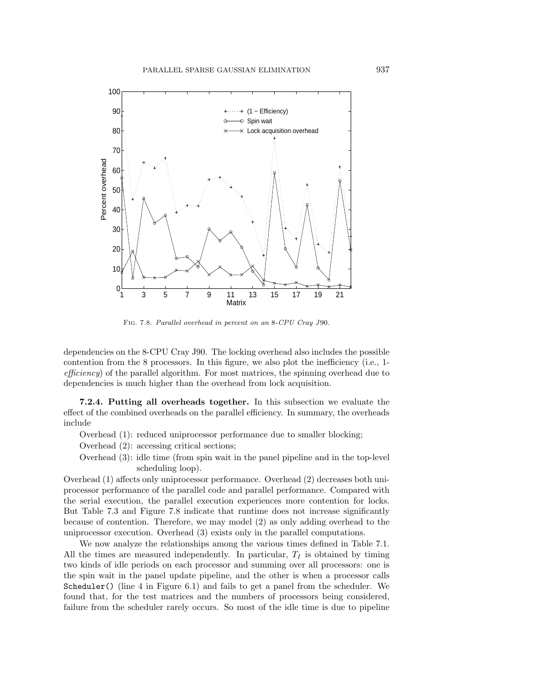

Fig. 7.8. Parallel overhead in percent on an 8-CPU Cray J90.

dependencies on the 8-CPU Cray J90. The locking overhead also includes the possible contention from the 8 processors. In this figure, we also plot the inefficiency (i.e., 1 efficiency) of the parallel algorithm. For most matrices, the spinning overhead due to dependencies is much higher than the overhead from lock acquisition.

**7.2.4. Putting all overheads together.** In this subsection we evaluate the effect of the combined overheads on the parallel efficiency. In summary, the overheads include

- Overhead (1): reduced uniprocessor performance due to smaller blocking;
- Overhead (2): accessing critical sections;
- Overhead (3): idle time (from spin wait in the panel pipeline and in the top-level scheduling loop).

Overhead (1) affects only uniprocessor performance. Overhead (2) decreases both uniprocessor performance of the parallel code and parallel performance. Compared with the serial execution, the parallel execution experiences more contention for locks. But Table 7.3 and Figure 7.8 indicate that runtime does not increase significantly because of contention. Therefore, we may model (2) as only adding overhead to the uniprocessor execution. Overhead (3) exists only in the parallel computations.

We now analyze the relationships among the various times defined in Table 7.1. All the times are measured independently. In particular,  $T_I$  is obtained by timing two kinds of idle periods on each processor and summing over all processors: one is the spin wait in the panel update pipeline, and the other is when a processor calls Scheduler() (line 4 in Figure 6.1) and fails to get a panel from the scheduler. We found that, for the test matrices and the numbers of processors being considered, failure from the scheduler rarely occurs. So most of the idle time is due to pipeline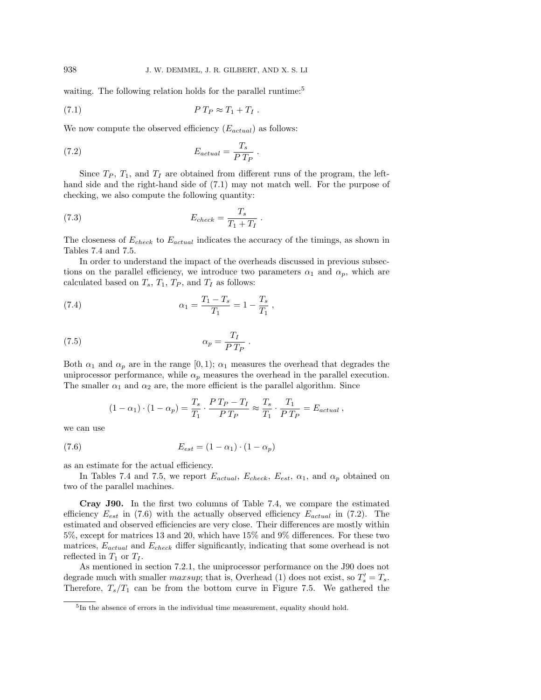waiting. The following relation holds for the parallel runtime:<sup>5</sup>

(7.1) P T<sup>P</sup> ≈ T<sup>1</sup> + T<sup>I</sup> .

We now compute the observed efficiency  $(E_{actual})$  as follows:

(7.2) 
$$
E_{actual} = \frac{T_s}{P T_P}.
$$

Since  $T_P$ ,  $T_1$ , and  $T_I$  are obtained from different runs of the program, the lefthand side and the right-hand side of (7.1) may not match well. For the purpose of checking, we also compute the following quantity:

(7.3) 
$$
E_{check} = \frac{T_s}{T_1 + T_I}.
$$

The closeness of  $E_{check}$  to  $E_{actual}$  indicates the accuracy of the timings, as shown in Tables 7.4 and 7.5.

In order to understand the impact of the overheads discussed in previous subsections on the parallel efficiency, we introduce two parameters  $\alpha_1$  and  $\alpha_p$ , which are calculated based on  $T_s$ ,  $T_1$ ,  $T_P$ , and  $T_I$  as follows:

(7.4) 
$$
\alpha_1 = \frac{T_1 - T_s}{T_1} = 1 - \frac{T_s}{T_1},
$$

(7.5) 
$$
\alpha_p = \frac{T_I}{P T_P} \; .
$$

Both  $\alpha_1$  and  $\alpha_p$  are in the range [0, 1);  $\alpha_1$  measures the overhead that degrades the uniprocessor performance, while  $\alpha_p$  measures the overhead in the parallel execution. The smaller  $\alpha_1$  and  $\alpha_2$  are, the more efficient is the parallel algorithm. Since

$$
(1 - \alpha_1) \cdot (1 - \alpha_p) = \frac{T_s}{T_1} \cdot \frac{P T_P - T_I}{P T_P} \approx \frac{T_s}{T_1} \cdot \frac{T_1}{P T_P} = E_{actual},
$$

we can use

$$
(7.6) \qquad \qquad E_{est} = (1 - \alpha_1) \cdot (1 - \alpha_p)
$$

as an estimate for the actual efficiency.

In Tables 7.4 and 7.5, we report  $E_{actual}$ ,  $E_{check}$ ,  $E_{est}$ ,  $\alpha_1$ , and  $\alpha_p$  obtained on two of the parallel machines.

**Cray J90.** In the first two columns of Table 7.4, we compare the estimated efficiency  $E_{est}$  in (7.6) with the actually observed efficiency  $E_{actual}$  in (7.2). The estimated and observed efficiencies are very close. Their differences are mostly within 5%, except for matrices 13 and 20, which have 15% and 9% differences. For these two matrices,  $E_{actual}$  and  $E_{check}$  differ significantly, indicating that some overhead is not reflected in  $T_1$  or  $T_I$ .

As mentioned in section 7.2.1, the uniprocessor performance on the J90 does not degrade much with smaller *maxsup*; that is, Overhead (1) does not exist, so  $T_s' = T_s$ . Therefore,  $T_s/T_1$  can be from the bottom curve in Figure 7.5. We gathered the

<sup>&</sup>lt;sup>5</sup>In the absence of errors in the individual time measurement, equality should hold.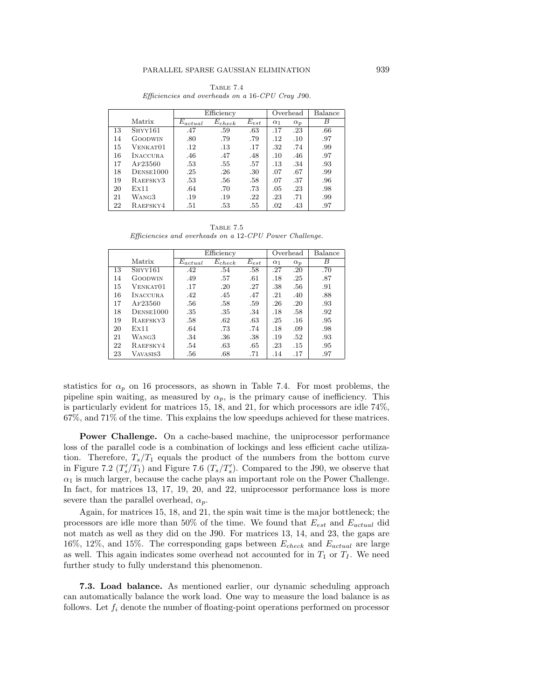|    |                 | Efficiency   |             | Overhead  | Balance    |            |     |
|----|-----------------|--------------|-------------|-----------|------------|------------|-----|
|    | Matrix          | $E_{actual}$ | $E_{check}$ | $E_{est}$ | $\alpha_1$ | $\alpha_p$ | В   |
| 13 | $S$ HYY $161$   | .47          | .59         | .63       | .17        | .23        | .66 |
| 14 | GOODWIN         | .80          | .79         | .79       | .12        | .10        | .97 |
| 15 | Venkat01        | $.12\,$      | .13         | .17       | .32        | .74        | .99 |
| 16 | <b>INACCURA</b> | .46          | .47         | .48       | .10        | .46        | .97 |
| 17 | AF23560         | .53          | .55         | .57       | .13        | .34        | .93 |
| 18 | DENSE1000       | .25          | .26         | .30       | .07        | .67        | .99 |
| 19 | RAEFSKY3        | .53          | .56         | .58       | .07        | .37        | .96 |
| 20 | Ex11            | .64          | .70         | .73       | .05        | .23        | .98 |
| 21 | WANG3           | .19          | .19         | $.22\,$   | .23        | .71        | .99 |
| 22 | RAEFSKY4        | .51          | .53         | .55       | .02        | .43        | .97 |

Table 7.4 Efficiencies and overheads on a 16-CPU Cray J90.

TABLE 7.5 Efficiencies and overheads on a 12-CPU Power Challenge.

|    |                 | Efficiency   |             | Overhead  | Balance    |            |     |
|----|-----------------|--------------|-------------|-----------|------------|------------|-----|
|    | Matrix          | $E_{actual}$ | $E_{check}$ | $E_{est}$ | $\alpha_1$ | $\alpha_p$ | B   |
| 13 | $S$ HYY $161$   | .42          | .54         | .58       | .27        | .20        | .70 |
| 14 | GOODWIN         | .49          | .57         | .61       | .18        | .25        | .87 |
| 15 | VENKAT01        | .17          | .20         | .27       | .38        | .56        | .91 |
| 16 | <b>INACCURA</b> | .42          | .45         | .47       | .21        | .40        | .88 |
| 17 | AF23560         | .56          | .58         | .59       | .26        | .20        | .93 |
| 18 | DENSE1000       | .35          | .35         | .34       | .18        | .58        | .92 |
| 19 | RAEFSKY3        | .58          | .62         | .63       | .25        | .16        | .95 |
| 20 | Ex11            | .64          | .73         | .74       | .18        | .09        | .98 |
| 21 | WANG3           | .34          | .36         | .38       | .19        | .52        | .93 |
| 22 | RAEFSKY4        | .54          | .63         | .65       | .23        | .15        | .95 |
| 23 | VAVASIS3        | .56          | .68         | .71       | .14        | .17        | .97 |

statistics for  $\alpha_p$  on 16 processors, as shown in Table 7.4. For most problems, the pipeline spin waiting, as measured by  $\alpha_p$ , is the primary cause of inefficiency. This is particularly evident for matrices 15, 18, and 21, for which processors are idle 74%, 67%, and 71% of the time. This explains the low speedups achieved for these matrices.

**Power Challenge.** On a cache-based machine, the uniprocessor performance loss of the parallel code is a combination of lockings and less efficient cache utilization. Therefore,  $T_s/T_1$  equals the product of the numbers from the bottom curve in Figure 7.2  $(T_s'/T_1)$  and Figure 7.6  $(T_s/T_s')$ . Compared to the J90, we observe that  $\alpha_1$  is much larger, because the cache plays an important role on the Power Challenge. In fact, for matrices 13, 17, 19, 20, and 22, uniprocessor performance loss is more severe than the parallel overhead,  $\alpha_p$ .

Again, for matrices 15, 18, and 21, the spin wait time is the major bottleneck; the processors are idle more than 50% of the time. We found that  $E_{est}$  and  $E_{actual}$  did not match as well as they did on the J90. For matrices 13, 14, and 23, the gaps are 16%, 12%, and 15%. The corresponding gaps between  $E_{check}$  and  $E_{actual}$  are large as well. This again indicates some overhead not accounted for in  $T_1$  or  $T_1$ . We need further study to fully understand this phenomenon.

**7.3. Load balance.** As mentioned earlier, our dynamic scheduling approach can automatically balance the work load. One way to measure the load balance is as follows. Let  $f_i$  denote the number of floating-point operations performed on processor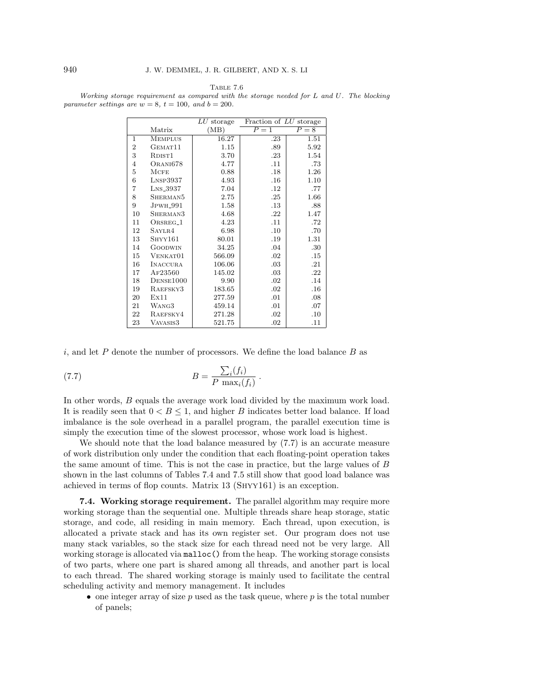TABLE 7.6

Working storage requirement as compared with the storage needed for L and U. The blocking parameter settings are  $w = 8$ ,  $t = 100$ , and  $b = 200$ .

|                  |                            | $LU$ storage | Fraction of LU storage |       |
|------------------|----------------------------|--------------|------------------------|-------|
|                  | Matrix                     | (MB)         | $P=1$                  | $P=8$ |
| $\mathbf{1}$     | <b>MEMPLUS</b>             | 16.27        | .23                    | 1.51  |
| $\boldsymbol{2}$ | GEMAT <sub>11</sub>        | 1.15         | .89                    | 5.92  |
| 3                | RDIST <sub>1</sub>         | 3.70         | .23                    | 1.54  |
| $\overline{4}$   | ORANI678                   | 4.77         | .11                    | .73   |
| 5                | MCFE                       | 0.88         | .18                    | 1.26  |
| 6                | $L$ <sub>NSP</sub> $3937$  | 4.93         | .16                    | 1.10  |
| 7                | $L$ <sub>NS</sub> $-3937$  | 7.04         | $.12\,$                | .77   |
| 8                | SHERMAN5                   | 2.75         | .25                    | 1.66  |
| 9                | <b>JPWH<sub>-991</sub></b> | 1.58         | .13                    | .88   |
| 10               | SHERMAN3                   | 4.68         | .22                    | 1.47  |
| 11               | ORSREG <sub>-1</sub>       | 4.23         | .11                    | .72   |
| 12               | SAYLR4                     | 6.98         | .10                    | .70   |
| 13               | $S$ HYY $161$              | 80.01        | .19                    | 1.31  |
| 14               | <b>GOODWIN</b>             | 34.25        | .04                    | .30   |
| 15               | VENKAT01                   | 566.09       | .02                    | .15   |
| 16               | <b>INACCURA</b>            | 106.06       | .03                    | .21   |
| 17               | AF23560                    | 145.02       | .03                    | .22   |
| 18               | DENSE1000                  | 9.90         | .02                    | .14   |
| 19               | RAEFSKY3                   | 183.65       | .02                    | .16   |
| 20               | Ex11                       | 277.59       | .01                    | .08   |
| 21               | WANG3                      | 459.14       | .01                    | .07   |
| 22               | RAEFSKY4                   | 271.28       | .02                    | .10   |
| 23               | VAVASIS3                   | 521.75       | .02                    | .11   |

i, and let  $P$  denote the number of processors. We define the load balance  $B$  as

(7.7) 
$$
B = \frac{\sum_i (f_i)}{P \max_i (f_i)}.
$$

In other words, B equals the average work load divided by the maximum work load. It is readily seen that  $0 < B \leq 1$ , and higher B indicates better load balance. If load imbalance is the sole overhead in a parallel program, the parallel execution time is simply the execution time of the slowest processor, whose work load is highest.

We should note that the load balance measured by  $(7.7)$  is an accurate measure of work distribution only under the condition that each floating-point operation takes the same amount of time. This is not the case in practice, but the large values of B shown in the last columns of Tables 7.4 and 7.5 still show that good load balance was achieved in terms of flop counts. Matrix 13 (Shyy161) is an exception.

**7.4. Working storage requirement.** The parallel algorithm may require more working storage than the sequential one. Multiple threads share heap storage, static storage, and code, all residing in main memory. Each thread, upon execution, is allocated a private stack and has its own register set. Our program does not use many stack variables, so the stack size for each thread need not be very large. All working storage is allocated via malloc() from the heap. The working storage consists of two parts, where one part is shared among all threads, and another part is local to each thread. The shared working storage is mainly used to facilitate the central scheduling activity and memory management. It includes

• one integer array of size  $p$  used as the task queue, where  $p$  is the total number of panels;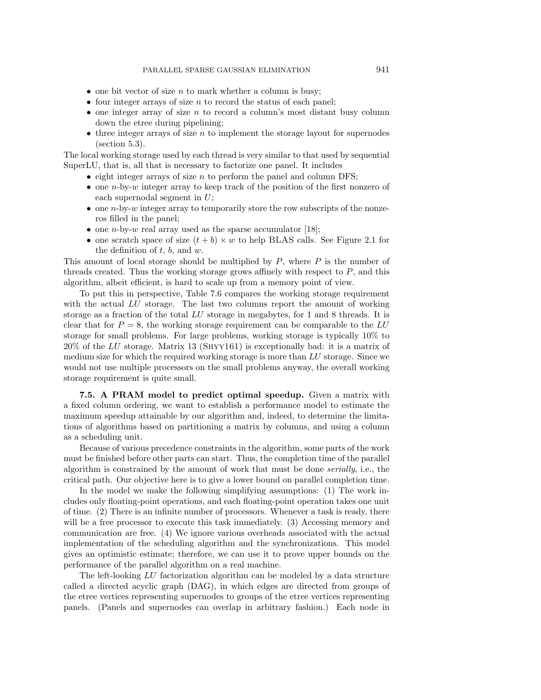- $\bullet$  one bit vector of size *n* to mark whether a column is busy;
- four integer arrays of size  $n$  to record the status of each panel;
- $\bullet$  one integer array of size n to record a column's most distant busy column down the etree during pipelining;
- three integer arrays of size  $n$  to implement the storage layout for supernodes (section 5.3).

The local working storage used by each thread is very similar to that used by sequential SuperLU, that is, all that is necessary to factorize one panel. It includes

- $\bullet$  eight integer arrays of size n to perform the panel and column DFS;
- one *n*-by-*w* integer array to keep track of the position of the first nonzero of each supernodal segment in  $U$ ;
- one *n*-by-*w* integer array to temporarily store the row subscripts of the nonzeros filled in the panel;
- one *n*-by-*w* real array used as the sparse accumulator [18];
- one scratch space of size  $(t + b) \times w$  to help BLAS calls. See Figure 2.1 for the definition of  $t, b$ , and  $w$ .

This amount of local storage should be multiplied by  $P$ , where  $P$  is the number of threads created. Thus the working storage grows affinely with respect to  $P$ , and this algorithm, albeit efficient, is hard to scale up from a memory point of view.

To put this in perspective, Table 7.6 compares the working storage requirement with the actual LU storage. The last two columns report the amount of working storage as a fraction of the total LU storage in megabytes, for 1 and 8 threads. It is clear that for  $P = 8$ , the working storage requirement can be comparable to the LU storage for small problems. For large problems, working storage is typically 10% to  $20\%$  of the LU storage. Matrix 13 (SHYY161) is exceptionally bad: it is a matrix of medium size for which the required working storage is more than LU storage. Since we would not use multiple processors on the small problems anyway, the overall working storage requirement is quite small.

**7.5. A PRAM model to predict optimal speedup.** Given a matrix with a fixed column ordering, we want to establish a performance model to estimate the maximum speedup attainable by our algorithm and, indeed, to determine the limitations of algorithms based on partitioning a matrix by columns, and using a column as a scheduling unit.

Because of various precedence constraints in the algorithm, some parts of the work must be finished before other parts can start. Thus, the completion time of the parallel algorithm is constrained by the amount of work that must be done serially, i.e., the critical path. Our objective here is to give a lower bound on parallel completion time.

In the model we make the following simplifying assumptions: (1) The work includes only floating-point operations, and each floating-point operation takes one unit of time. (2) There is an infinite number of processors. Whenever a task is ready, there will be a free processor to execute this task immediately. (3) Accessing memory and communication are free. (4) We ignore various overheads associated with the actual implementation of the scheduling algorithm and the synchronizations. This model gives an optimistic estimate; therefore, we can use it to prove upper bounds on the performance of the parallel algorithm on a real machine.

The left-looking LU factorization algorithm can be modeled by a data structure called a directed acyclic graph (DAG), in which edges are directed from groups of the etree vertices representing supernodes to groups of the etree vertices representing panels. (Panels and supernodes can overlap in arbitrary fashion.) Each node in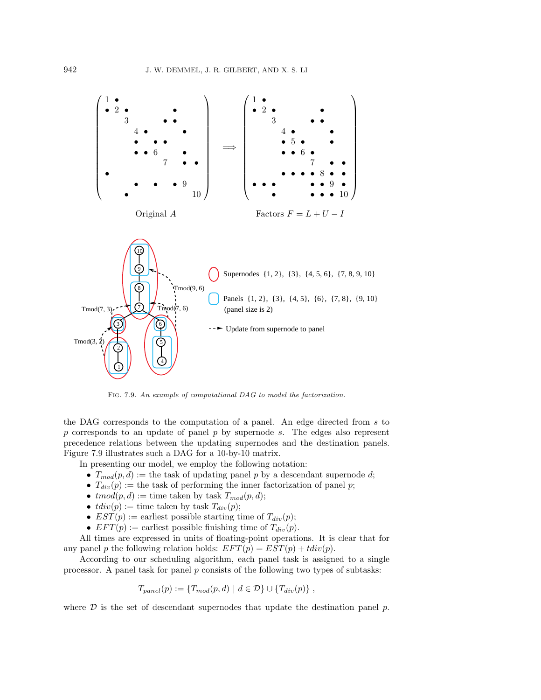

Fig. 7.9. An example of computational DAG to model the factorization.

the DAG corresponds to the computation of a panel. An edge directed from s to  $p$  corresponds to an update of panel  $p$  by supernode  $s$ . The edges also represent precedence relations between the updating supernodes and the destination panels. Figure 7.9 illustrates such a DAG for a 10-by-10 matrix.

In presenting our model, we employ the following notation:

- $T_{mod}(p, d) :=$  the task of updating panel p by a descendant supernode d;
- $T_{div}(p) :=$  the task of performing the inner factorization of panel p;
- $tmod(p, d) :=$  time taken by task  $T_{mod}(p, d)$ ;
- $tdiv(p) :=$  time taken by task  $T_{div}(p)$ ;
- $EST(p) :=$  earliest possible starting time of  $T_{div}(p)$ ;
- $EFT(p) :=$  earliest possible finishing time of  $T_{div}(p)$ .

All times are expressed in units of floating-point operations. It is clear that for any panel p the following relation holds:  $EFT(p) = EST(p) + tdiv(p)$ .

According to our scheduling algorithm, each panel task is assigned to a single processor. A panel task for panel  $p$  consists of the following two types of subtasks:

$$
T_{panel}(p) := \{T_{mod}(p,d) \mid d \in \mathcal{D}\} \cup \{T_{div}(p)\},\,
$$

where  $D$  is the set of descendant supernodes that update the destination panel  $p$ .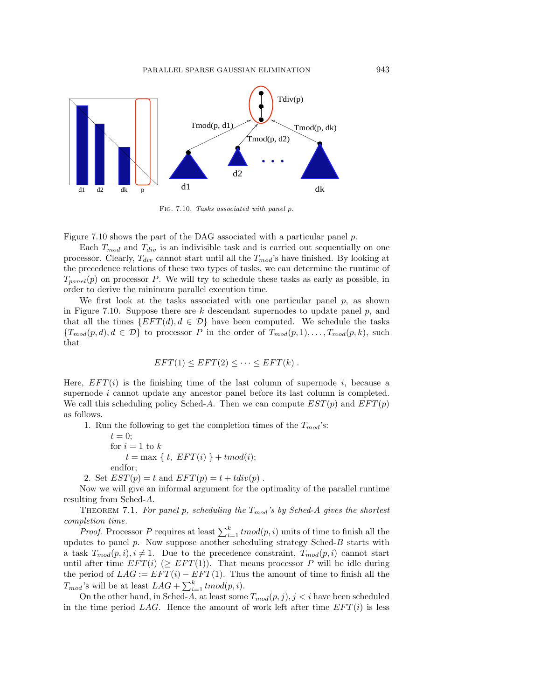

Fig. 7.10. Tasks associated with panel p.

Figure 7.10 shows the part of the DAG associated with a particular panel p.

Each  $T_{mod}$  and  $T_{div}$  is an indivisible task and is carried out sequentially on one processor. Clearly,  $T_{div}$  cannot start until all the  $T_{mod}$ 's have finished. By looking at the precedence relations of these two types of tasks, we can determine the runtime of  $T_{panel}(p)$  on processor P. We will try to schedule these tasks as early as possible, in order to derive the minimum parallel execution time.

We first look at the tasks associated with one particular panel  $p$ , as shown in Figure 7.10. Suppose there are  $k$  descendant supernodes to update panel  $p$ , and that all the times  $\{EFT(d), d \in \mathcal{D}\}\$  have been computed. We schedule the tasks  ${T_{mod}(p,d), d \in \mathcal{D}}$  to processor P in the order of  $T_{mod}(p,1),\ldots,T_{mod}(p,k)$ , such that

$$
EFT(1) \le EFT(2) \le \cdots \le EFT(k) .
$$

Here,  $EFT(i)$  is the finishing time of the last column of supernode i, because a supernode i cannot update any ancestor panel before its last column is completed. We call this scheduling policy Sched-A. Then we can compute  $EST(p)$  and  $EFT(p)$ as follows.

1. Run the following to get the completion times of the  $T_{mod}$ 's:

- $t=0;$ for  $i = 1$  to  $k$  $t = \max \{ t, EFT(i) \} + tmod(i);$ endfor;
- 2. Set  $EST(p) = t$  and  $EFT(p) = t + tdiv(p)$ .

Now we will give an informal argument for the optimality of the parallel runtime resulting from Sched-A.

THEOREM 7.1. For panel p, scheduling the  $T_{mod}$ 's by Sched-A gives the shortest completion time.

*Proof.* Processor P requires at least  $\sum_{i=1}^{k} \text{tmod}(p, i)$  units of time to finish all the updates to panel  $p$ . Now suppose another scheduling strategy Sched- $B$  starts with a task  $T_{mod}(p, i), i \neq 1$ . Due to the precedence constraint,  $T_{mod}(p, i)$  cannot start until after time  $EFT(i)$  ( $\geq EFT(1)$ ). That means processor P will be idle during the period of  $LAG := EFT(i) - EFT(1)$ . Thus the amount of time to finish all the  $T_{mod}$ 's will be at least  $LAG + \sum_{i=1}^{k} tmod(p, i)$ .

On the other hand, in Sched-A, at least some  $T_{mod}(p, j), j < i$  have been scheduled in the time period LAG. Hence the amount of work left after time  $EFT(i)$  is less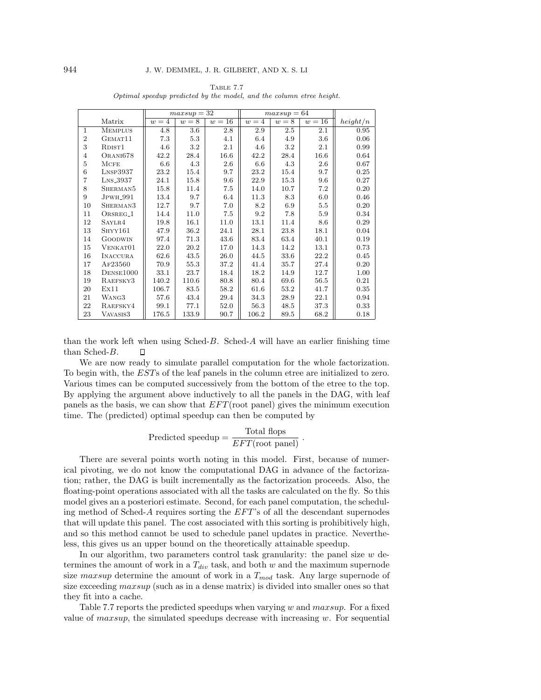|                |                           |       | $maxsup = 32$ |        |                  | $maxsup = 64$ |        |          |
|----------------|---------------------------|-------|---------------|--------|------------------|---------------|--------|----------|
|                | Matrix                    | $w=4$ | $w=8$         | $w=16$ | $w=\overline{4}$ | $w=8$         | $w=16$ | height/n |
| $\mathbf{1}$   | <b>MEMPLUS</b>            | 4.8   | 3.6           | 2.8    | 2.9              | 2.5           | 2.1    | 0.95     |
| $\overline{2}$ | GEMAT11                   | 7.3   | 5.3           | 4.1    | 6.4              | 4.9           | 3.6    | 0.06     |
| 3              | RDIST <sub>1</sub>        | 4.6   | 3.2           | 2.1    | 4.6              | 3.2           | 2.1    | 0.99     |
| 4              | ORANI678                  | 42.2  | 28.4          | 16.6   | 42.2             | 28.4          | 16.6   | 0.64     |
| $\overline{5}$ | <b>MCFE</b>               | 6.6   | 4.3           | 2.6    | 6.6              | 4.3           | 2.6    | 0.67     |
| 6              | $L$ <sub>NSP</sub> $3937$ | 23.2  | 15.4          | 9.7    | 23.2             | 15.4          | 9.7    | 0.25     |
| 7              | $L$ <sub>NS</sub> $-3937$ | 24.1  | 15.8          | 9.6    | 22.9             | 15.3          | 9.6    | 0.27     |
| 8              | SHERMAN <sub>5</sub>      | 15.8  | 11.4          | 7.5    | 14.0             | 10.7          | 7.2    | 0.20     |
| 9              | JPWH <sub>-991</sub>      | 13.4  | 9.7           | 6.4    | 11.3             | 8.3           | 6.0    | 0.46     |
| 10             | SHERMAN3                  | 12.7  | 9.7           | 7.0    | 8.2              | 6.9           | 5.5    | 0.20     |
| 11             | ORSREG <sub>-1</sub>      | 14.4  | 11.0          | 7.5    | 9.2              | 7.8           | 5.9    | 0.34     |
| 12             | SAYLR4                    | 19.8  | 16.1          | 11.0   | 13.1             | 11.4          | 8.6    | 0.29     |
| 13             | SHYY161                   | 47.9  | 36.2          | 24.1   | 28.1             | 23.8          | 18.1   | 0.04     |
| 14             | <b>GOODWIN</b>            | 97.4  | 71.3          | 43.6   | 83.4             | 63.4          | 40.1   | 0.19     |
| 15             | VENKAT01                  | 22.0  | 20.2          | 17.0   | 14.3             | 14.2          | 13.1   | 0.73     |
| 16             | <b>INACCURA</b>           | 62.6  | 43.5          | 26.0   | 44.5             | 33.6          | 22.2   | 0.45     |
| 17             | AF23560                   | 70.9  | 55.3          | 37.2   | 41.4             | 35.7          | 27.4   | 0.20     |
| 18             | DENSE1000                 | 33.1  | 23.7          | 18.4   | 18.2             | 14.9          | 12.7   | 1.00     |
| 19             | RAEFSKY3                  | 140.2 | 110.6         | 80.8   | 80.4             | 69.6          | 56.5   | 0.21     |
| 20             | Ex11                      | 106.7 | 83.5          | 58.2   | 61.6             | 53.2          | 41.7   | 0.35     |
| 21             | WANG3                     | 57.6  | 43.4          | 29.4   | 34.3             | 28.9          | 22.1   | 0.94     |
| 22             | RAEFSKY4                  | 99.1  | 77.1          | 52.0   | 56.3             | 48.5          | 37.3   | 0.33     |
| 23             | VAVASIS3                  | 176.5 | 133.9         | 90.7   | 106.2            | 89.5          | 68.2   | 0.18     |

Table 7.7 Optimal speedup predicted by the model, and the column etree height.

than the work left when using Sched-B. Sched-A will have an earlier finishing time than Sched-B. П

We are now ready to simulate parallel computation for the whole factorization. To begin with, the ESTs of the leaf panels in the column etree are initialized to zero. Various times can be computed successively from the bottom of the etree to the top. By applying the argument above inductively to all the panels in the DAG, with leaf panels as the basis, we can show that EFT(root panel) gives the minimum execution time. The (predicted) optimal speedup can then be computed by

Predicted speedup = 
$$
\frac{\text{Total flops}}{EFT(\text{root panel})}
$$
.

There are several points worth noting in this model. First, because of numerical pivoting, we do not know the computational DAG in advance of the factorization; rather, the DAG is built incrementally as the factorization proceeds. Also, the floating-point operations associated with all the tasks are calculated on the fly. So this model gives an a posteriori estimate. Second, for each panel computation, the scheduling method of Sched-A requires sorting the EFT's of all the descendant supernodes that will update this panel. The cost associated with this sorting is prohibitively high, and so this method cannot be used to schedule panel updates in practice. Nevertheless, this gives us an upper bound on the theoretically attainable speedup.

In our algorithm, two parameters control task granularity: the panel size  $w$  determines the amount of work in a  $T_{div}$  task, and both w and the maximum supernode size maxsup determine the amount of work in a  $T_{mod}$  task. Any large supernode of size exceeding  $maxsup$  (such as in a dense matrix) is divided into smaller ones so that they fit into a cache.

Table 7.7 reports the predicted speedups when varying  $w$  and  $maxsup$ . For a fixed value of  $maxsup$ , the simulated speedups decrease with increasing w. For sequential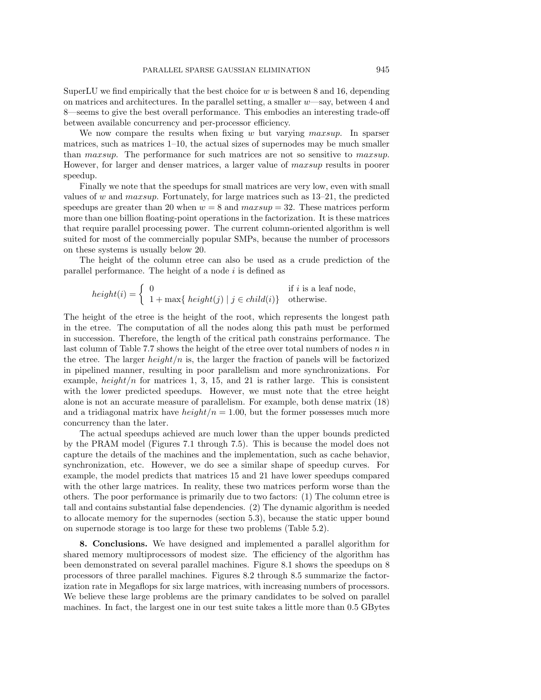SuperLU we find empirically that the best choice for  $w$  is between 8 and 16, depending on matrices and architectures. In the parallel setting, a smaller w—say, between 4 and 8—seems to give the best overall performance. This embodies an interesting trade-off between available concurrency and per-processor efficiency.

We now compare the results when fixing  $w$  but varying  $maxsup$ . In sparser matrices, such as matrices  $1-10$ , the actual sizes of supernodes may be much smaller than maxsup. The performance for such matrices are not so sensitive to maxsup. However, for larger and denser matrices, a larger value of maxsup results in poorer speedup.

Finally we note that the speedups for small matrices are very low, even with small values of w and maxsup. Fortunately, for large matrices such as 13–21, the predicted speedups are greater than 20 when  $w = 8$  and  $maxsup = 32$ . These matrices perform more than one billion floating-point operations in the factorization. It is these matrices that require parallel processing power. The current column-oriented algorithm is well suited for most of the commercially popular SMPs, because the number of processors on these systems is usually below 20.

The height of the column etree can also be used as a crude prediction of the parallel performance. The height of a node  $i$  is defined as

$$
height(i) = \begin{cases} 0 & \text{if } i \text{ is a leaf node,} \\ 1 + \max\{ \ height(j) \mid j \in child(i) \} & \text{otherwise.} \end{cases}
$$

The height of the etree is the height of the root, which represents the longest path in the etree. The computation of all the nodes along this path must be performed in succession. Therefore, the length of the critical path constrains performance. The last column of Table 7.7 shows the height of the etree over total numbers of nodes  $n$  in the etree. The larger  $height/n$  is, the larger the fraction of panels will be factorized in pipelined manner, resulting in poor parallelism and more synchronizations. For example,  $height/n$  for matrices 1, 3, 15, and 21 is rather large. This is consistent with the lower predicted speedups. However, we must note that the etree height alone is not an accurate measure of parallelism. For example, both dense matrix (18) and a tridiagonal matrix have  $height/n = 1.00$ , but the former possesses much more concurrency than the later.

The actual speedups achieved are much lower than the upper bounds predicted by the PRAM model (Figures 7.1 through 7.5). This is because the model does not capture the details of the machines and the implementation, such as cache behavior, synchronization, etc. However, we do see a similar shape of speedup curves. For example, the model predicts that matrices 15 and 21 have lower speedups compared with the other large matrices. In reality, these two matrices perform worse than the others. The poor performance is primarily due to two factors: (1) The column etree is tall and contains substantial false dependencies. (2) The dynamic algorithm is needed to allocate memory for the supernodes (section 5.3), because the static upper bound on supernode storage is too large for these two problems (Table 5.2).

**8. Conclusions.** We have designed and implemented a parallel algorithm for shared memory multiprocessors of modest size. The efficiency of the algorithm has been demonstrated on several parallel machines. Figure 8.1 shows the speedups on 8 processors of three parallel machines. Figures 8.2 through 8.5 summarize the factorization rate in Megaflops for six large matrices, with increasing numbers of processors. We believe these large problems are the primary candidates to be solved on parallel machines. In fact, the largest one in our test suite takes a little more than 0.5 GBytes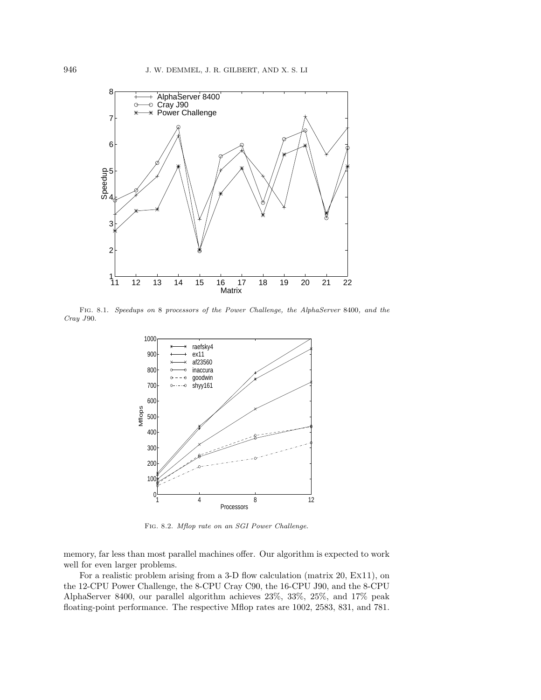

Fig. 8.1. Speedups on 8 processors of the Power Challenge, the AlphaServer 8400, and the Cray J90.



Fig. 8.2. Mflop rate on an SGI Power Challenge.

memory, far less than most parallel machines offer. Our algorithm is expected to work well for even larger problems.

For a realistic problem arising from a 3-D flow calculation (matrix 20, Ex11), on the 12-CPU Power Challenge, the 8-CPU Cray C90, the 16-CPU J90, and the 8-CPU AlphaServer 8400, our parallel algorithm achieves 23%, 33%, 25%, and 17% peak floating-point performance. The respective Mflop rates are 1002, 2583, 831, and 781.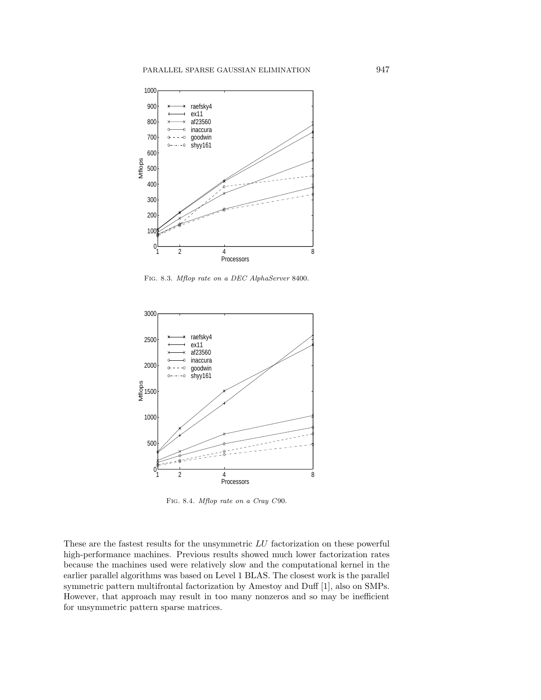

Fig. 8.3. Mflop rate on a DEC AlphaServer 8400.



Fig. 8.4. Mflop rate on a Cray C90.

These are the fastest results for the unsymmetric  $LU$  factorization on these powerful high-performance machines. Previous results showed much lower factorization rates because the machines used were relatively slow and the computational kernel in the earlier parallel algorithms was based on Level 1 BLAS. The closest work is the parallel symmetric pattern multifrontal factorization by Amestoy and Duff [1], also on SMPs. However, that approach may result in too many nonzeros and so may be inefficient for unsymmetric pattern sparse matrices.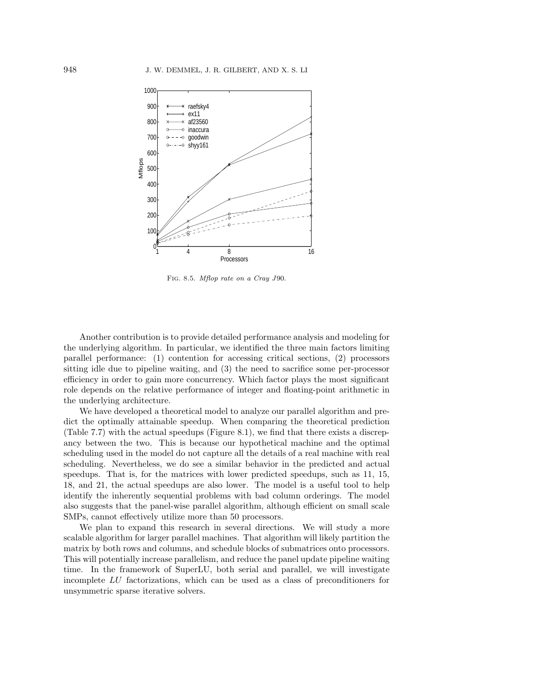

Fig. 8.5. Mflop rate on a Cray J90.

Another contribution is to provide detailed performance analysis and modeling for the underlying algorithm. In particular, we identified the three main factors limiting parallel performance: (1) contention for accessing critical sections, (2) processors sitting idle due to pipeline waiting, and (3) the need to sacrifice some per-processor efficiency in order to gain more concurrency. Which factor plays the most significant role depends on the relative performance of integer and floating-point arithmetic in the underlying architecture.

We have developed a theoretical model to analyze our parallel algorithm and predict the optimally attainable speedup. When comparing the theoretical prediction (Table 7.7) with the actual speedups (Figure 8.1), we find that there exists a discrepancy between the two. This is because our hypothetical machine and the optimal scheduling used in the model do not capture all the details of a real machine with real scheduling. Nevertheless, we do see a similar behavior in the predicted and actual speedups. That is, for the matrices with lower predicted speedups, such as 11, 15, 18, and 21, the actual speedups are also lower. The model is a useful tool to help identify the inherently sequential problems with bad column orderings. The model also suggests that the panel-wise parallel algorithm, although efficient on small scale SMPs, cannot effectively utilize more than 50 processors.

We plan to expand this research in several directions. We will study a more scalable algorithm for larger parallel machines. That algorithm will likely partition the matrix by both rows and columns, and schedule blocks of submatrices onto processors. This will potentially increase parallelism, and reduce the panel update pipeline waiting time. In the framework of SuperLU, both serial and parallel, we will investigate incomplete LU factorizations, which can be used as a class of preconditioners for unsymmetric sparse iterative solvers.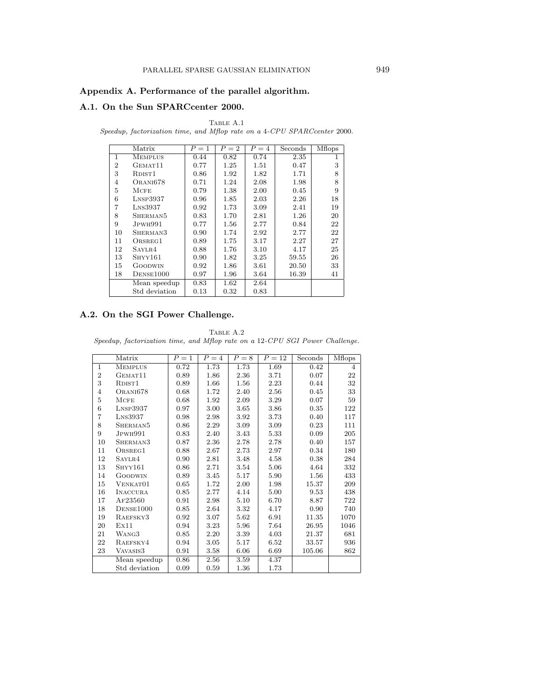## **Appendix A. Performance of the parallel algorithm.**

## **A.1. On the Sun SPARCcenter 2000.**

TABLE  $A.1$ 

Speedup, factorization time, and Mflop rate on a 4-CPU SPARCcenter 2000.

|                | Matrix                    | $P=1$ | $P=2$ | $P = 4$ | Seconds | <b>Mflops</b> |
|----------------|---------------------------|-------|-------|---------|---------|---------------|
| 1              | <b>MEMPLUS</b>            | 0.44  | 0.82  | 0.74    | 2.35    | 1             |
| $\overline{2}$ | GEMAT <sub>11</sub>       | 0.77  | 1.25  | 1.51    | 0.47    | 3             |
| 3              | RDIST <sub>1</sub>        | 0.86  | 1.92  | 1.82    | 1.71    | 8             |
| 4              | ORANI678                  | 0.71  | 1.24  | 2.08    | 1.98    | 8             |
| 5              | MCFE                      | 0.79  | 1.38  | 2.00    | 0.45    | 9             |
| 6              | $L$ <sub>NSP</sub> $3937$ | 0.96  | 1.85  | 2.03    | 2.26    | 18            |
| 7              | $L$ <sub>NS</sub> $3937$  | 0.92  | 1.73  | 3.09    | 2.41    | 19            |
| 8              | SHERMAN <sub>5</sub>      | 0.83  | 1.70  | 2.81    | 1.26    | 20            |
| 9              | J <sub>PWH991</sub>       | 0.77  | 1.56  | 2.77    | 0.84    | 22            |
| 10             | SHERMAN <sub>3</sub>      | 0.90  | 1.74  | 2.92    | 2.77    | 22            |
| 11             | ORSREG1                   | 0.89  | 1.75  | 3.17    | 2.27    | 27            |
| 12             | SAYLR4                    | 0.88  | 1.76  | 3.10    | 4.17    | 25            |
| 13             | $S$ HYY $161$             | 0.90  | 1.82  | 3.25    | 59.55   | 26            |
| 15             | GOODWIN                   | 0.92  | 1.86  | 3.61    | 20.50   | 33            |
| 18             | DENSE1000                 | 0.97  | 1.96  | 3.64    | 16.39   | 41            |
|                | Mean speedup              | 0.83  | 1.62  | 2.64    |         |               |
|                | Std deviation             | 0.13  | 0.32  | 0.83    |         |               |

# **A.2. On the SGI Power Challenge.**

TABLE A.2 Speedup, factorization time, and Mflop rate on a 12-CPU SGI Power Challenge.

|                | Matrix                   | $P=1$ | $P = 4$  | $P=8$    | $P=12$ | Seconds | <b>Mflops</b> |
|----------------|--------------------------|-------|----------|----------|--------|---------|---------------|
| $\mathbf{1}$   | <b>MEMPLUS</b>           | 0.72  | 1.73     | 1.73     | 1.69   | 0.42    | 4             |
| $\overline{2}$ | GEMAT <sub>11</sub>      | 0.89  | 1.86     | 2.36     | 3.71   | 0.07    | 22            |
| 3              | RDIST <sub>1</sub>       | 0.89  | 1.66     | $1.56\,$ | 2.23   | 0.44    | 32            |
| $\overline{4}$ | ORANI678                 | 0.68  | 1.72     | 2.40     | 2.56   | 0.45    | 33            |
| $\overline{5}$ | <b>MCFE</b>              | 0.68  | 1.92     | 2.09     | 3.29   | 0.07    | 59            |
| 6              | LNSP3937                 | 0.97  | 3.00     | 3.65     | 3.86   | 0.35    | 122           |
| 7              | $L$ <sub>NS</sub> $3937$ | 0.98  | 2.98     | 3.92     | 3.73   | 0.40    | 117           |
| 8              | SHERMAN5                 | 0.86  | 2.29     | 3.09     | 3.09   | 0.23    | 111           |
| 9              | JPWH991                  | 0.83  | 2.40     | 3.43     | 5.33   | 0.09    | 205           |
| 10             | SHERMAN3                 | 0.87  | 2.36     | 2.78     | 2.78   | 0.40    | 157           |
| 11             | ORSREG1                  | 0.88  | 2.67     | 2.73     | 2.97   | 0.34    | 180           |
| 12             | SAYLR4                   | 0.90  | 2.81     | 3.48     | 4.58   | 0.38    | 284           |
| 13             | SHYY161                  | 0.86  | 2.71     | 3.54     | 5.06   | 4.64    | 332           |
| 14             | <b>GOODWIN</b>           | 0.89  | 3.45     | 5.17     | 5.90   | 1.56    | 433           |
| 15             | VENKAT01                 | 0.65  | 1.72     | 2.00     | 1.98   | 15.37   | 209           |
| 16             | <b>INACCURA</b>          | 0.85  | 2.77     | 4.14     | 5.00   | 9.53    | 438           |
| 17             | AF23560                  | 0.91  | 2.98     | 5.10     | 6.70   | 8.87    | 722           |
| 18             | DENSE1000                | 0.85  | 2.64     | 3.32     | 4.17   | 0.90    | 740           |
| 19             | RAEFSKY3                 | 0.92  | 3.07     | 5.62     | 6.91   | 11.35   | 1070          |
| 20             | Ex11                     | 0.94  | $3.23\,$ | 5.96     | 7.64   | 26.95   | 1046          |
| 21             | WANG3                    | 0.85  | 2.20     | 3.39     | 4.03   | 21.37   | 681           |
| 22             | RAEFSKY4                 | 0.94  | 3.05     | 5.17     | 6.52   | 33.57   | 936           |
| 23             | VAVASIS3                 | 0.91  | 3.58     | 6.06     | 6.69   | 105.06  | 862           |
|                | Mean speedup             | 0.86  | 2.56     | 3.59     | 4.37   |         |               |
|                | Std deviation            | 0.09  | 0.59     | 1.36     | 1.73   |         |               |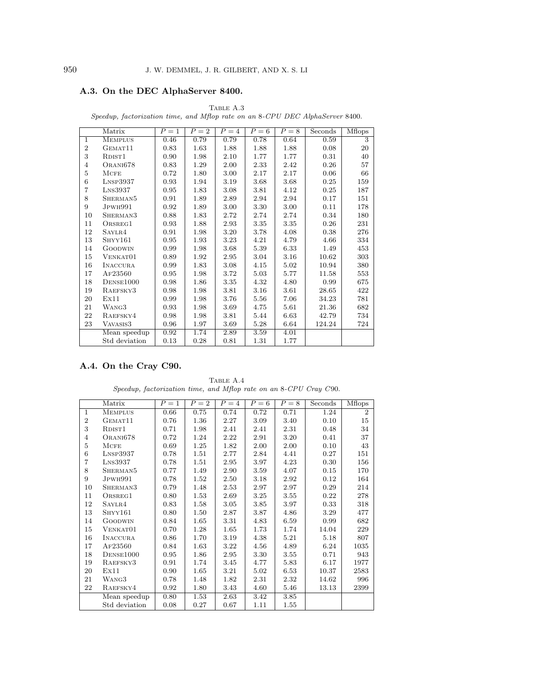# **A.3. On the DEC AlphaServer 8400.**

|                | Matrix                    | $P=1$ | $P=2$ | $P=4$    | $P=6$ | $P = 8$ | Seconds | Mflops |
|----------------|---------------------------|-------|-------|----------|-------|---------|---------|--------|
| $\mathbf{1}$   | <b>MEMPLUS</b>            | 0.46  | 0.79  | 0.79     | 0.78  | 0.64    | 0.59    | 3      |
| $\overline{2}$ | GEMAT11                   | 0.83  | 1.63  | 1.88     | 1.88  | 1.88    | 0.08    | 20     |
| 3              | RDIST <sub>1</sub>        | 0.90  | 1.98  | 2.10     | 1.77  | 1.77    | 0.31    | 40     |
| $\overline{4}$ | ORANI678                  | 0.83  | 1.29  | 2.00     | 2.33  | 2.42    | 0.26    | 57     |
| 5              | MCFE                      | 0.72  | 1.80  | 3.00     | 2.17  | 2.17    | 0.06    | 66     |
| 6              | $L$ <sub>NSP</sub> $3937$ | 0.93  | 1.94  | 3.19     | 3.68  | 3.68    | 0.25    | 159    |
| 7              | $L$ <sub>NS</sub> $3937$  | 0.95  | 1.83  | 3.08     | 3.81  | 4.12    | 0.25    | 187    |
| 8              | SHERMAN <sub>5</sub>      | 0.91  | 1.89  | 2.89     | 2.94  | 2.94    | 0.17    | 151    |
| 9              | JPWH991                   | 0.92  | 1.89  | 3.00     | 3.30  | 3.00    | 0.11    | 178    |
| 10             | SHERMAN <sub>3</sub>      | 0.88  | 1.83  | 2.72     | 2.74  | 2.74    | 0.34    | 180    |
| 11             | ORSREG1                   | 0.93  | 1.88  | 2.93     | 3.35  | 3.35    | 0.26    | 231    |
| 12             | SAYLR4                    | 0.91  | 1.98  | 3.20     | 3.78  | 4.08    | 0.38    | 276    |
| 13             | SHYY161                   | 0.95  | 1.93  | $3.23\,$ | 4.21  | 4.79    | 4.66    | 334    |
| 14             | GOODWIN                   | 0.99  | 1.98  | 3.68     | 5.39  | 6.33    | 1.49    | 453    |
| 15             | VENKAT01                  | 0.89  | 1.92  | 2.95     | 3.04  | 3.16    | 10.62   | 303    |
| 16             | <b>INACCURA</b>           | 0.99  | 1.83  | 3.08     | 4.15  | 5.02    | 10.94   | 380    |
| 17             | AF23560                   | 0.95  | 1.98  | 3.72     | 5.03  | 5.77    | 11.58   | 553    |
| 18             | DENSE1000                 | 0.98  | 1.86  | 3.35     | 4.32  | 4.80    | 0.99    | 675    |
| 19             | RAEFSKY3                  | 0.98  | 1.98  | 3.81     | 3.16  | 3.61    | 28.65   | 422    |
| 20             | Ex11                      | 0.99  | 1.98  | 3.76     | 5.56  | 7.06    | 34.23   | 781    |
| 21             | WANG3                     | 0.93  | 1.98  | 3.69     | 4.75  | 5.61    | 21.36   | 682    |
| 22             | RAEFSKY4                  | 0.98  | 1.98  | 3.81     | 5.44  | 6.63    | 42.79   | 734    |
| 23             | VAVASIS3                  | 0.96  | 1.97  | 3.69     | 5.28  | 6.64    | 124.24  | 724    |
|                | Mean speedup              | 0.92  | 1.74  | 2.89     | 3.59  | 4.01    |         |        |
|                | Std deviation             | 0.13  | 0.28  | 0.81     | 1.31  | 1.77    |         |        |

TABLE  $\mathbf{A.3}$ Speedup, factorization time, and Mflop rate on an 8-CPU DEC AlphaServer 8400.

# **A.4. On the Cray C90.**

TABLE A.4 Speedup, factorization time, and Mflop rate on an 8-CPU Cray C90.

|                | Matrix                    | $P=1$ | $P=2$ | $P=4$ | $P=6$ | $P=8$ | Seconds | Mflops       |
|----------------|---------------------------|-------|-------|-------|-------|-------|---------|--------------|
| $\mathbf{1}$   | <b>MEMPLUS</b>            | 0.66  | 0.75  | 0.74  | 0.72  | 0.71  | 1.24    | $\mathbf{2}$ |
| $\overline{2}$ | GEMAT11                   | 0.76  | 1.36  | 2.27  | 3.09  | 3.40  | 0.10    | 15           |
| 3              | RDIST <sub>1</sub>        | 0.71  | 1.98  | 2.41  | 2.41  | 2.31  | 0.48    | 34           |
| $\overline{4}$ | ORANI678                  | 0.72  | 1.24  | 2.22  | 2.91  | 3.20  | 0.41    | 37           |
| 5              | MCFE                      | 0.69  | 1.25  | 1.82  | 2.00  | 2.00  | 0.10    | 43           |
| 6              | $L$ <sub>NSP</sub> $3937$ | 0.78  | 1.51  | 2.77  | 2.84  | 4.41  | 0.27    | 151          |
| $\overline{7}$ | $L$ <sub>NS</sub> $3937$  | 0.78  | 1.51  | 2.95  | 3.97  | 4.23  | 0.30    | 156          |
| 8              | SHERMAN5                  | 0.77  | 1.49  | 2.90  | 3.59  | 4.07  | 0.15    | 170          |
| 9              | J <sub>PWH991</sub>       | 0.78  | 1.52  | 2.50  | 3.18  | 2.92  | 0.12    | 164          |
| 10             | SHERMAN3                  | 0.79  | 1.48  | 2.53  | 2.97  | 2.97  | 0.29    | 214          |
| 11             | ORSREG1                   | 0.80  | 1.53  | 2.69  | 3.25  | 3.55  | 0.22    | 278          |
| 12             | SAYLR4                    | 0.83  | 1.58  | 3.05  | 3.85  | 3.97  | 0.33    | 318          |
| 13             | SHYY161                   | 0.80  | 1.50  | 2.87  | 3.87  | 4.86  | 3.29    | 477          |
| 14             | <b>GOODWIN</b>            | 0.84  | 1.65  | 3.31  | 4.83  | 6.59  | 0.99    | 682          |
| 15             | VENKAT01                  | 0.70  | 1.28  | 1.65  | 1.73  | 1.74  | 14.04   | 229          |
| 16             | <b>INACCURA</b>           | 0.86  | 1.70  | 3.19  | 4.38  | 5.21  | 5.18    | 807          |
| 17             | AF23560                   | 0.84  | 1.63  | 3.22  | 4.56  | 4.89  | 6.24    | 1035         |
| 18             | DENSE1000                 | 0.95  | 1.86  | 2.95  | 3.30  | 3.55  | 0.71    | 943          |
| 19             | RAEFSKY3                  | 0.91  | 1.74  | 3.45  | 4.77  | 5.83  | 6.17    | 1977         |
| 20             | Ex11                      | 0.90  | 1.65  | 3.21  | 5.02  | 6.53  | 10.37   | 2583         |
| 21             | WANG3                     | 0.78  | 1.48  | 1.82  | 2.31  | 2.32  | 14.62   | 996          |
| 22             | RAEFSKY4                  | 0.92  | 1.80  | 3.43  | 4.60  | 5.46  | 13.13   | 2399         |
|                | Mean speedup              | 0.80  | 1.53  | 2.63  | 3.42  | 3.85  |         |              |
|                | Std deviation             | 0.08  | 0.27  | 0.67  | 1.11  | 1.55  |         |              |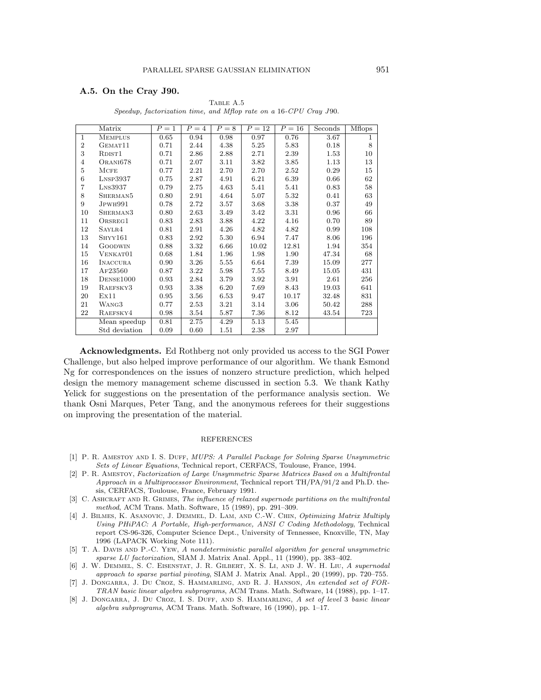### **A.5. On the Cray J90.**

|                | Matrix                    | $P=1$ | $P = 4$  | $P=8$ | $P=12$   | $P=16$ | Seconds | <b>M</b> flops |
|----------------|---------------------------|-------|----------|-------|----------|--------|---------|----------------|
| $\mathbf{1}$   | <b>MEMPLUS</b>            | 0.65  | 0.94     | 0.98  | 0.97     | 0.76   | 3.67    | 1              |
| $\overline{2}$ | GEMAT11                   | 0.71  | 2.44     | 4.38  | 5.25     | 5.83   | 0.18    | 8              |
| 3              | RDIST <sub>1</sub>        | 0.71  | 2.86     | 2.88  | 2.71     | 2.39   | 1.53    | 10             |
| 4              | ORANI678                  | 0.71  | 2.07     | 3.11  | 3.82     | 3.85   | 1.13    | 13             |
| 5              | $M$ CFE                   | 0.77  | 2.21     | 2.70  | 2.70     | 2.52   | 0.29    | 15             |
| 6              | $L$ <sub>NSP</sub> $3937$ | 0.75  | 2.87     | 4.91  | 6.21     | 6.39   | 0.66    | 62             |
| $\overline{7}$ | $L$ <sub>NS</sub> $3937$  | 0.79  | 2.75     | 4.63  | 5.41     | 5.41   | 0.83    | 58             |
| 8              | SHERMAN5                  | 0.80  | 2.91     | 4.64  | 5.07     | 5.32   | 0.41    | 63             |
| 9              | JPWH991                   | 0.78  | 2.72     | 3.57  | 3.68     | 3.38   | 0.37    | 49             |
| 10             | SHERMAN3                  | 0.80  | 2.63     | 3.49  | 3.42     | 3.31   | 0.96    | 66             |
| 11             | ORSREG1                   | 0.83  | 2.83     | 3.88  | 4.22     | 4.16   | 0.70    | 89             |
| 12             | SAYLR4                    | 0.81  | 2.91     | 4.26  | 4.82     | 4.82   | 0.99    | 108            |
| 13             | $S$ HYY $161$             | 0.83  | 2.92     | 5.30  | 6.94     | 7.47   | 8.06    | 196            |
| 14             | <b>GOODWIN</b>            | 0.88  | 3.32     | 6.66  | 10.02    | 12.81  | 1.94    | 354            |
| 15             | VENKAT01                  | 0.68  | 1.84     | 1.96  | 1.98     | 1.90   | 47.34   | 68             |
| 16             | <b>INACCURA</b>           | 0.90  | 3.26     | 5.55  | 6.64     | 7.39   | 15.09   | 277            |
| 17             | AF23560                   | 0.87  | 3.22     | 5.98  | 7.55     | 8.49   | 15.05   | 431            |
| 18             | DENSE1000                 | 0.93  | 2.84     | 3.79  | 3.92     | 3.91   | 2.61    | 256            |
| 19             | RAEFSKY3                  | 0.93  | $3.38\,$ | 6.20  | 7.69     | 8.43   | 19.03   | 641            |
| 20             | Ex11                      | 0.95  | 3.56     | 6.53  | 9.47     | 10.17  | 32.48   | 831            |
| 21             | WANG3                     | 0.77  | 2.53     | 3.21  | 3.14     | 3.06   | 50.42   | 288            |
| 22             | RAEFSKY4                  | 0.98  | 3.54     | 5.87  | $7.36\,$ | 8.12   | 43.54   | 723            |
|                | Mean speedup              | 0.81  | 2.75     | 4.29  | 5.13     | 5.45   |         |                |
|                | Std deviation             | 0.09  | 0.60     | 1.51  | 2.38     | 2.97   |         |                |

TABLE A.5 Speedup, factorization time, and Mflop rate on a 16-CPU Cray J90.

**Acknowledgments.** Ed Rothberg not only provided us access to the SGI Power Challenge, but also helped improve performance of our algorithm. We thank Esmond Ng for correspondences on the issues of nonzero structure prediction, which helped design the memory management scheme discussed in section 5.3. We thank Kathy Yelick for suggestions on the presentation of the performance analysis section. We thank Osni Marques, Peter Tang, and the anonymous referees for their suggestions on improving the presentation of the material.

### REFERENCES

- [1] P. R. AMESTOY AND I. S. DUFF, *MUPS: A Parallel Package for Solving Sparse Unsymmetric* Sets of Linear Equations, Technical report, CERFACS, Toulouse, France, 1994.
- [2] P. R. Amestoy, Factorization of Large Unsymmetric Sparse Matrices Based on a Multifrontal Approach in a Multiprocessor Environment, Technical report TH/PA/91/2 and Ph.D. thesis, CERFACS, Toulouse, France, February 1991.
- [3] C. ASHCRAFT AND R. GRIMES, The influence of relaxed supernode partitions on the multifrontal method, ACM Trans. Math. Software, 15 (1989), pp. 291–309.
- [4] J. BILMES, K. ASANOVIC, J. DEMMEL, D. LAM, AND C.-W. CHIN, Optimizing Matrix Multiply Using PHiPAC: A Portable, High-performance, ANSI C Coding Methodology, Technical report CS-96-326, Computer Science Dept., University of Tennessee, Knoxville, TN, May 1996 (LAPACK Working Note 111).
- [5] T. A. Davis and P.-C. Yew, A nondeterministic parallel algorithm for general unsymmetric sparse LU factorization, SIAM J. Matrix Anal. Appl., 11 (1990), pp. 383–402.
- [6] J. W. Demmel, S. C. Eisenstat, J. R. Gilbert, X. S. Li, and J. W. H. Liu, A supernodal approach to sparse partial pivoting, SIAM J. Matrix Anal. Appl., 20 (1999), pp. 720–755.
- [7] J. Dongarra, J. Du Croz, S. Hammarling, and R. J. Hanson, An extended set of FOR-TRAN basic linear algebra subprograms, ACM Trans. Math. Software, 14 (1988), pp. 1–17.
- [8] J. DONGARRA, J. DU CROZ, I. S. DUFF, AND S. HAMMARLING, A set of level 3 basic linear algebra subprograms, ACM Trans. Math. Software, 16 (1990), pp. 1–17.